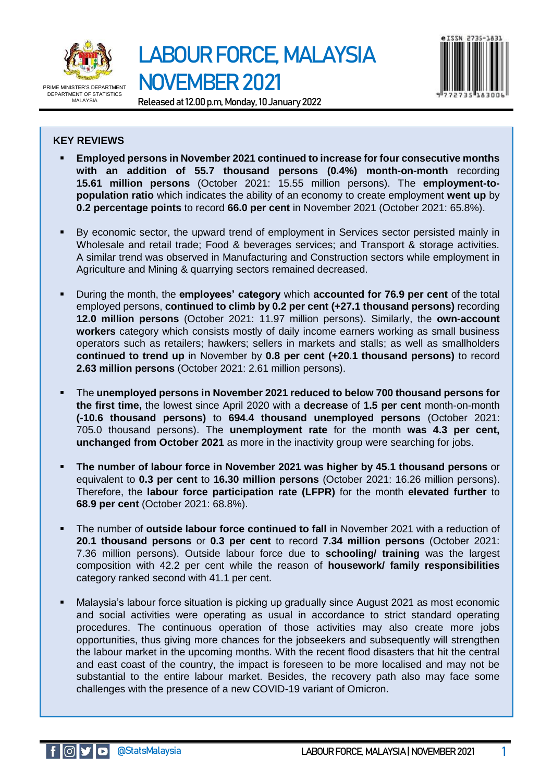



#### **KEY REVIEWS**

- **Employed persons in November 2021 continued to increase for four consecutive months with an addition of 55.7 thousand persons (0.4%) month-on-month** recording **15.61 million persons** (October 2021: 15.55 million persons). The **employment-topopulation ratio** which indicates the ability of an economy to create employment **went up** by **0.2 percentage points** to record **66.0 per cent** in November 2021 (October 2021: 65.8%).
- By economic sector, the upward trend of employment in Services sector persisted mainly in Wholesale and retail trade; Food & beverages services; and Transport & storage activities. A similar trend was observed in Manufacturing and Construction sectors while employment in Agriculture and Mining & quarrying sectors remained decreased.
- During the month, the **employees' category** which **accounted for 76.9 per cent** of the total employed persons, **continued to climb by 0.2 per cent (+27.1 thousand persons)** recording **12.0 million persons** (October 2021: 11.97 million persons). Similarly, the **own-account workers** category which consists mostly of daily income earners working as small business operators such as retailers; hawkers; sellers in markets and stalls; as well as smallholders **continued to trend up** in November by **0.8 per cent (+20.1 thousand persons)** to record **2.63 million persons** (October 2021: 2.61 million persons).
- The **unemployed persons in November 2021 reduced to below 700 thousand persons for the first time,** the lowest since April 2020 with a **decrease** of **1.5 per cent** month-on-month **(-10.6 thousand persons)** to **694.4 thousand unemployed persons** (October 2021: 705.0 thousand persons). The **unemployment rate** for the month **was 4.3 per cent, unchanged from October 2021** as more in the inactivity group were searching for jobs.
- **The number of labour force in November 2021 was higher by 45.1 thousand persons** or equivalent to **0.3 per cent** to **16.30 million persons** (October 2021: 16.26 million persons). Therefore, the **labour force participation rate (LFPR)** for the month **elevated further** to **68.9 per cent** (October 2021: 68.8%).
- The number of **outside labour force continued to fall** in November 2021 with a reduction of **20.1 thousand persons** or **0.3 per cent** to record **7.34 million persons** (October 2021: 7.36 million persons). Outside labour force due to **schooling/ training** was the largest composition with 42.2 per cent while the reason of **housework/ family responsibilities**  category ranked second with 41.1 per cent.
- Malaysia's labour force situation is picking up gradually since August 2021 as most economic and social activities were operating as usual in accordance to strict standard operating procedures. The continuous operation of those activities may also create more jobs opportunities, thus giving more chances for the jobseekers and subsequently will strengthen the labour market in the upcoming months. With the recent flood disasters that hit the central and east coast of the country, the impact is foreseen to be more localised and may not be substantial to the entire labour market. Besides, the recovery path also may face some challenges with the presence of a new COVID-19 variant of Omicron.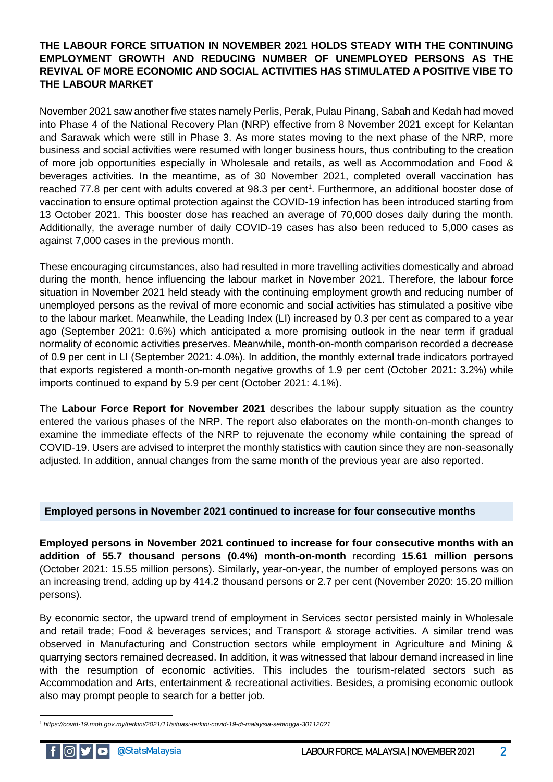#### **THE LABOUR FORCE SITUATION IN NOVEMBER 2021 HOLDS STEADY WITH THE CONTINUING EMPLOYMENT GROWTH AND REDUCING NUMBER OF UNEMPLOYED PERSONS AS THE REVIVAL OF MORE ECONOMIC AND SOCIAL ACTIVITIES HAS STIMULATED A POSITIVE VIBE TO THE LABOUR MARKET**

November 2021 saw another five states namely Perlis, Perak, Pulau Pinang, Sabah and Kedah had moved into Phase 4 of the National Recovery Plan (NRP) effective from 8 November 2021 except for Kelantan and Sarawak which were still in Phase 3. As more states moving to the next phase of the NRP, more business and social activities were resumed with longer business hours, thus contributing to the creation of more job opportunities especially in Wholesale and retails, as well as Accommodation and Food & beverages activities. In the meantime, as of 30 November 2021, completed overall vaccination has reached 77.8 per cent with adults covered at 98.3 per cent<sup>1</sup>. Furthermore, an additional booster dose of vaccination to ensure optimal protection against the COVID-19 infection has been introduced starting from 13 October 2021. This booster dose has reached an average of 70,000 doses daily during the month. Additionally, the average number of daily COVID-19 cases has also been reduced to 5,000 cases as against 7,000 cases in the previous month.

These encouraging circumstances, also had resulted in more travelling activities domestically and abroad during the month, hence influencing the labour market in November 2021. Therefore, the labour force situation in November 2021 held steady with the continuing employment growth and reducing number of unemployed persons as the revival of more economic and social activities has stimulated a positive vibe to the labour market. Meanwhile, the Leading Index (LI) increased by 0.3 per cent as compared to a year ago (September 2021: 0.6%) which anticipated a more promising outlook in the near term if gradual normality of economic activities preserves. Meanwhile, month-on-month comparison recorded a decrease of 0.9 per cent in LI (September 2021: 4.0%). In addition, the monthly external trade indicators portrayed that exports registered a month-on-month negative growths of 1.9 per cent (October 2021: 3.2%) while imports continued to expand by 5.9 per cent (October 2021: 4.1%).

The **Labour Force Report for November 2021** describes the labour supply situation as the country entered the various phases of the NRP. The report also elaborates on the month-on-month changes to examine the immediate effects of the NRP to rejuvenate the economy while containing the spread of COVID-19. Users are advised to interpret the monthly statistics with caution since they are non-seasonally adjusted. In addition, annual changes from the same month of the previous year are also reported.

#### **Employed persons in November 2021 continued to increase for four consecutive months**

**Employed persons in November 2021 continued to increase for four consecutive months with an addition of 55.7 thousand persons (0.4%) month-on-month** recording **15.61 million persons** (October 2021: 15.55 million persons). Similarly, year-on-year, the number of employed persons was on an increasing trend, adding up by 414.2 thousand persons or 2.7 per cent (November 2020: 15.20 million persons).

By economic sector, the upward trend of employment in Services sector persisted mainly in Wholesale and retail trade; Food & beverages services; and Transport & storage activities. A similar trend was observed in Manufacturing and Construction sectors while employment in Agriculture and Mining & quarrying sectors remained decreased. In addition, it was witnessed that labour demand increased in line with the resumption of economic activities. This includes the tourism-related sectors such as Accommodation and Arts, entertainment & recreational activities. Besides, a promising economic outlook also may prompt people to search for a better job.

 $\overline{a}$ <sup>1</sup> *https://covid-19.moh.gov.my/terkini/2021/11/situasi-terkini-covid-19-di-malaysia-sehingga-30112021*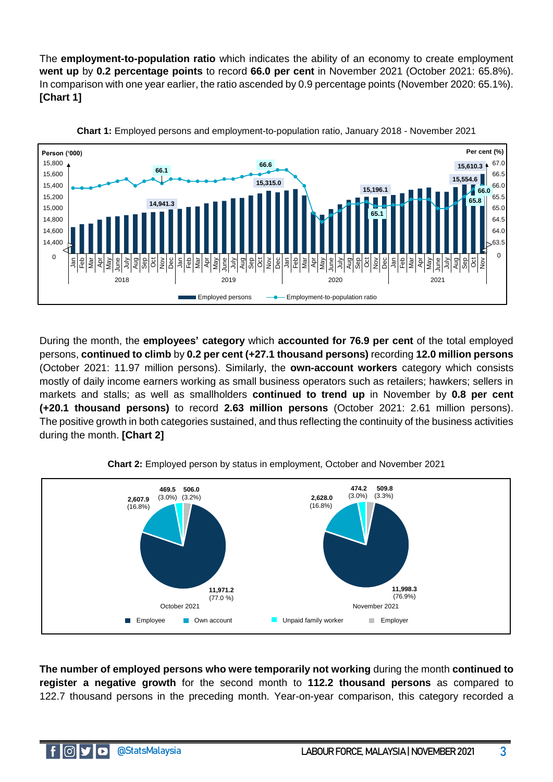The **employment-to-population ratio** which indicates the ability of an economy to create employment **went up** by **0.2 percentage points** to record **66.0 per cent** in November 2021 (October 2021: 65.8%). In comparison with one year earlier, the ratio ascended by 0.9 percentage points (November 2020: 65.1%). **[Chart 1]**



**Chart 1:** Employed persons and employment-to-population ratio, January 2018 - November 2021

During the month, the **employees' category** which **accounted for 76.9 per cent** of the total employed persons, **continued to climb** by **0.2 per cent (+27.1 thousand persons)** recording **12.0 million persons** (October 2021: 11.97 million persons). Similarly, the **own-account workers** category which consists mostly of daily income earners working as small business operators such as retailers; hawkers; sellers in markets and stalls; as well as smallholders **continued to trend up** in November by **0.8 per cent (+20.1 thousand persons)** to record **2.63 million persons** (October 2021: 2.61 million persons). The positive growth in both categories sustained, and thus reflecting the continuity of the business activities during the month. **[Chart 2]**



**Chart 2:** Employed person by status in employment, October and November 2021

**The number of employed persons who were temporarily not working** during the month **continued to register a negative growth** for the second month to **112.2 thousand persons** as compared to 122.7 thousand persons in the preceding month. Year-on-year comparison, this category recorded a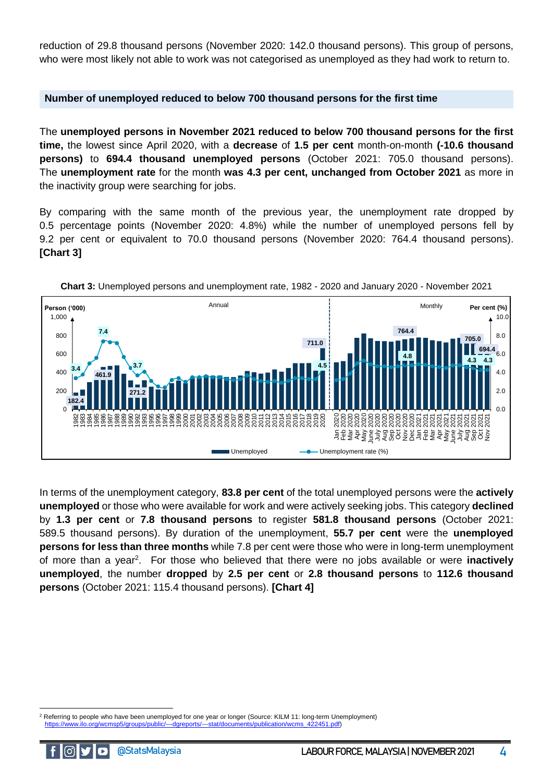reduction of 29.8 thousand persons (November 2020: 142.0 thousand persons). This group of persons, who were most likely not able to work was not categorised as unemployed as they had work to return to.

#### **Number of unemployed reduced to below 700 thousand persons for the first time**

The **unemployed persons in November 2021 reduced to below 700 thousand persons for the first time,** the lowest since April 2020, with a **decrease** of **1.5 per cent** month-on-month **(-10.6 thousand persons)** to **694.4 thousand unemployed persons** (October 2021: 705.0 thousand persons). The **unemployment rate** for the month **was 4.3 per cent, unchanged from October 2021** as more in the inactivity group were searching for jobs.

By comparing with the same month of the previous year, the unemployment rate dropped by 0.5 percentage points (November 2020: 4.8%) while the number of unemployed persons fell by 9.2 per cent or equivalent to 70.0 thousand persons (November 2020: 764.4 thousand persons). **[Chart 3]**



**Chart 3:** Unemployed persons and unemployment rate, 1982 - 2020 and January 2020 - November 2021

In terms of the unemployment category, **83.8 per cent** of the total unemployed persons were the **actively unemployed** or those who were available for work and were actively seeking jobs. This category **declined** by **1.3 per cent** or **7.8 thousand persons** to register **581.8 thousand persons** (October 2021: 589.5 thousand persons). By duration of the unemployment, **55.7 per cent** were the **unemployed persons for less than three months** while 7.8 per cent were those who were in long-term unemployment of more than a year<sup>2</sup>. For those who believed that there were no jobs available or were **inactively unemployed**, the number **dropped** by **2.5 per cent** or **2.8 thousand persons** to **112.6 thousand persons** (October 2021: 115.4 thousand persons). **[Chart 4]**

 $\overline{a}$ <sup>2</sup> Referring to people who have been unemployed for one year or longer (Source: KILM 11: long-term Unemployment)<br>https://www.ilo.org/wcmsp5/groups/public/---dgreports/---stat/documents/publication/wcms 422451.pdf) [https://www.ilo.org/wcmsp5/groups/public/---dgreports/---stat/documents/publication/wcms\\_422451.pdf\)](https://www.ilo.org/wcmsp5/groups/public/---dgreports/---stat/documents/publication/wcms_422451.pdf)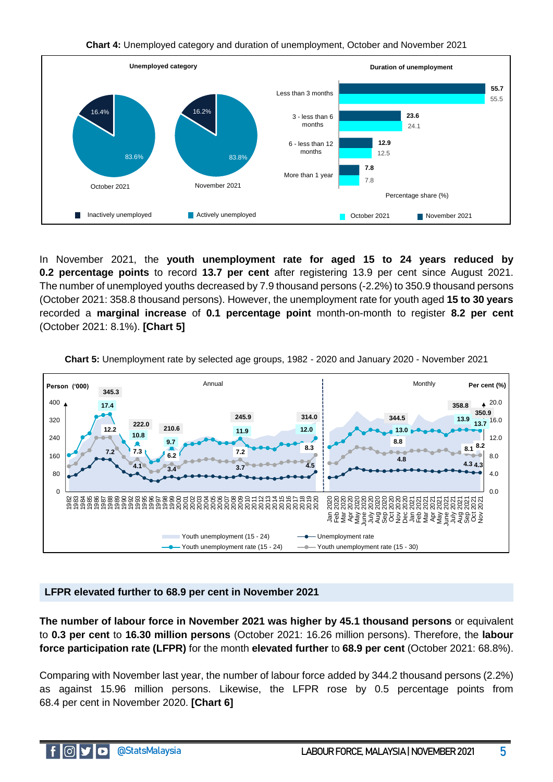**Chart 4:** Unemployed category and duration of unemployment, October and November 2021



In November 2021, the **youth unemployment rate for aged 15 to 24 years reduced by 0.2 percentage points** to record **13.7 per cent** after registering 13.9 per cent since August 2021. The number of unemployed youths decreased by 7.9 thousand persons (-2.2%) to 350.9 thousand persons (October 2021: 358.8 thousand persons). However, the unemployment rate for youth aged **15 to 30 years** recorded a **marginal increase** of **0.1 percentage point** month-on-month to register **8.2 per cent** (October 2021: 8.1%). **[Chart 5]**





#### **LFPR elevated further to 68.9 per cent in November 2021**

**The number of labour force in November 2021 was higher by 45.1 thousand persons** or equivalent to **0.3 per cent** to **16.30 million persons** (October 2021: 16.26 million persons). Therefore, the **labour force participation rate (LFPR)** for the month **elevated further** to **68.9 per cent** (October 2021: 68.8%).

Comparing with November last year, the number of labour force added by 344.2 thousand persons (2.2%) as against 15.96 million persons. Likewise, the LFPR rose by 0.5 percentage points from 68.4 per cent in November 2020. **[Chart 6]**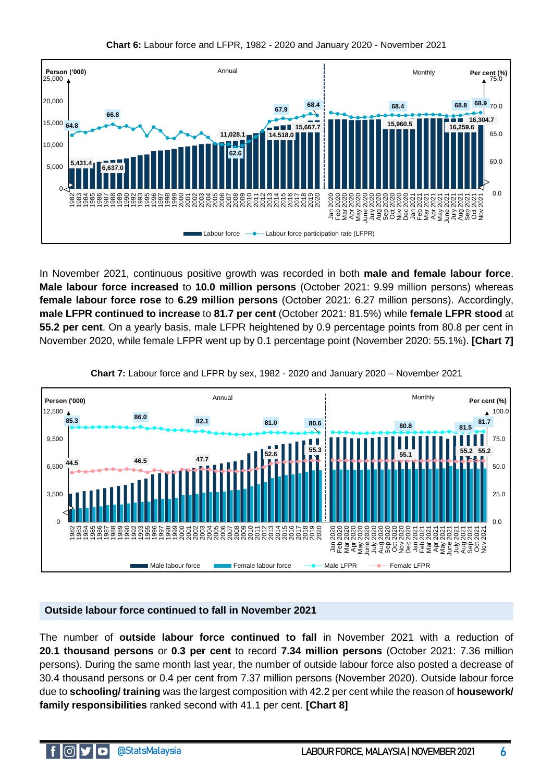



In November 2021, continuous positive growth was recorded in both **male and female labour force**. **Male labour force increased** to **10.0 million persons** (October 2021: 9.99 million persons) whereas **female labour force rose** to **6.29 million persons** (October 2021: 6.27 million persons). Accordingly, **male LFPR continued to increase** to **81.7 per cent** (October 2021: 81.5%) while **female LFPR stood** at **55.2 per cent**. On a yearly basis, male LFPR heightened by 0.9 percentage points from 80.8 per cent in November 2020, while female LFPR went up by 0.1 percentage point (November 2020: 55.1%). **[Chart 7]**



**Chart 7:** Labour force and LFPR by sex, 1982 - 2020 and January 2020 – November 2021

#### **Outside labour force continued to fall in November 2021**

The number of **outside labour force continued to fall** in November 2021 with a reduction of **20.1 thousand persons** or **0.3 per cent** to record **7.34 million persons** (October 2021: 7.36 million persons). During the same month last year, the number of outside labour force also posted a decrease of 30.4 thousand persons or 0.4 per cent from 7.37 million persons (November 2020). Outside labour force due to **schooling/ training** was the largest composition with 42.2 per cent while the reason of **housework/ family responsibilities** ranked second with 41.1 per cent. **[Chart 8]**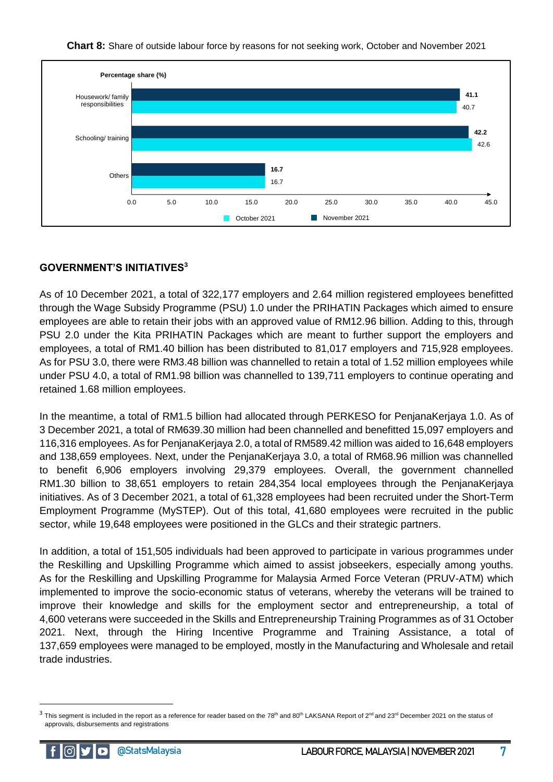**Chart 8:** Share of outside labour force by reasons for not seeking work, October and November 2021



#### **GOVERNMENT'S INITIATIVES<sup>3</sup>**

As of 10 December 2021, a total of 322,177 employers and 2.64 million registered employees benefitted through the Wage Subsidy Programme (PSU) 1.0 under the PRIHATIN Packages which aimed to ensure employees are able to retain their jobs with an approved value of RM12.96 billion. Adding to this, through PSU 2.0 under the Kita PRIHATIN Packages which are meant to further support the employers and employees, a total of RM1.40 billion has been distributed to 81,017 employers and 715,928 employees. As for PSU 3.0, there were RM3.48 billion was channelled to retain a total of 1.52 million employees while under PSU 4.0, a total of RM1.98 billion was channelled to 139,711 employers to continue operating and retained 1.68 million employees.

In the meantime, a total of RM1.5 billion had allocated through PERKESO for PenjanaKerjaya 1.0. As of 3 December 2021, a total of RM639.30 million had been channelled and benefitted 15,097 employers and 116,316 employees. As for PenjanaKerjaya 2.0, a total of RM589.42 million was aided to 16,648 employers and 138,659 employees. Next, under the PenjanaKerjaya 3.0, a total of RM68.96 million was channelled to benefit 6,906 employers involving 29,379 employees. Overall, the government channelled RM1.30 billion to 38,651 employers to retain 284,354 local employees through the PenjanaKerjaya initiatives. As of 3 December 2021, a total of 61,328 employees had been recruited under the Short-Term Employment Programme (MySTEP). Out of this total, 41,680 employees were recruited in the public sector, while 19,648 employees were positioned in the GLCs and their strategic partners.

In addition, a total of 151,505 individuals had been approved to participate in various programmes under the Reskilling and Upskilling Programme which aimed to assist jobseekers, especially among youths. As for the Reskilling and Upskilling Programme for Malaysia Armed Force Veteran (PRUV-ATM) which implemented to improve the socio-economic status of veterans, whereby the veterans will be trained to improve their knowledge and skills for the employment sector and entrepreneurship, a total of 4,600 veterans were succeeded in the Skills and Entrepreneurship Training Programmes as of 31 October 2021. Next, through the Hiring Incentive Programme and Training Assistance, a total of 137,659 employees were managed to be employed, mostly in the Manufacturing and Wholesale and retail trade industries.

 $\ddot{\phantom{a}}$ 

 $^3$  This segment is included in the report as a reference for reader based on the 78<sup>th</sup> and 80<sup>th</sup> LAKSANA Report of 2<sup>nd</sup> and 23<sup>rd</sup> December 2021 on the status of approvals, disbursements and registrations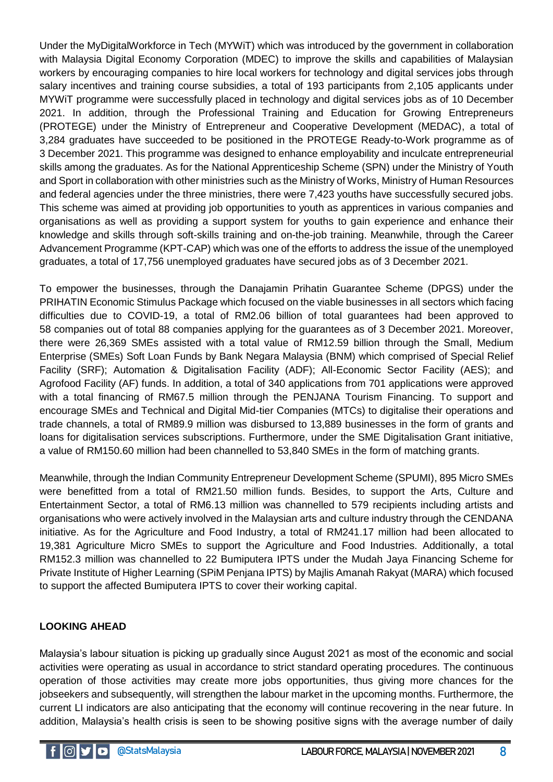Under the MyDigitalWorkforce in Tech (MYWiT) which was introduced by the government in collaboration with Malaysia Digital Economy Corporation (MDEC) to improve the skills and capabilities of Malaysian workers by encouraging companies to hire local workers for technology and digital services jobs through salary incentives and training course subsidies, a total of 193 participants from 2,105 applicants under MYWiT programme were successfully placed in technology and digital services jobs as of 10 December 2021. In addition, through the Professional Training and Education for Growing Entrepreneurs (PROTEGE) under the Ministry of Entrepreneur and Cooperative Development (MEDAC), a total of 3,284 graduates have succeeded to be positioned in the PROTEGE Ready-to-Work programme as of 3 December 2021. This programme was designed to enhance employability and inculcate entrepreneurial skills among the graduates. As for the National Apprenticeship Scheme (SPN) under the Ministry of Youth and Sport in collaboration with other ministries such as the Ministry of Works, Ministry of Human Resources and federal agencies under the three ministries, there were 7,423 youths have successfully secured jobs. This scheme was aimed at providing job opportunities to youth as apprentices in various companies and organisations as well as providing a support system for youths to gain experience and enhance their knowledge and skills through soft-skills training and on-the-job training. Meanwhile, through the Career Advancement Programme (KPT-CAP) which was one of the efforts to address the issue of the unemployed graduates, a total of 17,756 unemployed graduates have secured jobs as of 3 December 2021.

To empower the businesses, through the Danajamin Prihatin Guarantee Scheme (DPGS) under the PRIHATIN Economic Stimulus Package which focused on the viable businesses in all sectors which facing difficulties due to COVID-19, a total of RM2.06 billion of total guarantees had been approved to 58 companies out of total 88 companies applying for the guarantees as of 3 December 2021. Moreover, there were 26,369 SMEs assisted with a total value of RM12.59 billion through the Small, Medium Enterprise (SMEs) Soft Loan Funds by Bank Negara Malaysia (BNM) which comprised of Special Relief Facility (SRF); Automation & Digitalisation Facility (ADF); All-Economic Sector Facility (AES); and Agrofood Facility (AF) funds. In addition, a total of 340 applications from 701 applications were approved with a total financing of RM67.5 million through the PENJANA Tourism Financing. To support and encourage SMEs and Technical and Digital Mid-tier Companies (MTCs) to digitalise their operations and trade channels, a total of RM89.9 million was disbursed to 13,889 businesses in the form of grants and loans for digitalisation services subscriptions. Furthermore, under the SME Digitalisation Grant initiative, a value of RM150.60 million had been channelled to 53,840 SMEs in the form of matching grants.

Meanwhile, through the Indian Community Entrepreneur Development Scheme (SPUMI), 895 Micro SMEs were benefitted from a total of RM21.50 million funds. Besides, to support the Arts, Culture and Entertainment Sector, a total of RM6.13 million was channelled to 579 recipients including artists and organisations who were actively involved in the Malaysian arts and culture industry through the CENDANA initiative. As for the Agriculture and Food Industry, a total of RM241.17 million had been allocated to 19,381 Agriculture Micro SMEs to support the Agriculture and Food Industries. Additionally, a total RM152.3 million was channelled to 22 Bumiputera IPTS under the Mudah Jaya Financing Scheme for Private Institute of Higher Learning (SPiM Penjana IPTS) by Majlis Amanah Rakyat (MARA) which focused to support the affected Bumiputera IPTS to cover their working capital.

#### **LOOKING AHEAD**

Malaysia's labour situation is picking up gradually since August 2021 as most of the economic and social activities were operating as usual in accordance to strict standard operating procedures. The continuous operation of those activities may create more jobs opportunities, thus giving more chances for the jobseekers and subsequently, will strengthen the labour market in the upcoming months. Furthermore, the current LI indicators are also anticipating that the economy will continue recovering in the near future. In addition, Malaysia's health crisis is seen to be showing positive signs with the average number of daily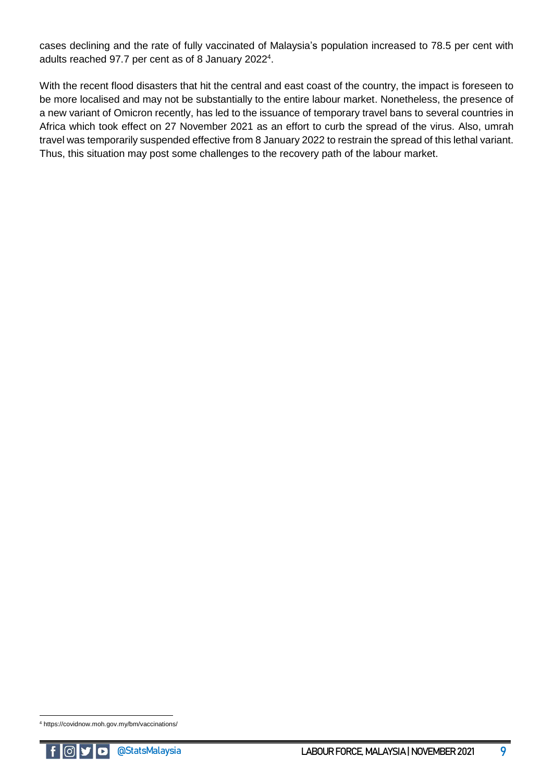cases declining and the rate of fully vaccinated of Malaysia's population increased to 78.5 per cent with adults reached 97.7 per cent as of 8 January 2022<sup>4</sup>.

With the recent flood disasters that hit the central and east coast of the country, the impact is foreseen to be more localised and may not be substantially to the entire labour market. Nonetheless, the presence of a new variant of Omicron recently, has led to the issuance of temporary travel bans to several countries in Africa which took effect on 27 November 2021 as an effort to curb the spread of the virus. Also, umrah travel was temporarily suspended effective from 8 January 2022 to restrain the spread of this lethal variant. Thus, this situation may post some challenges to the recovery path of the labour market.

 $\overline{a}$ <sup>4</sup> https://covidnow.moh.gov.my/bm/vaccinations/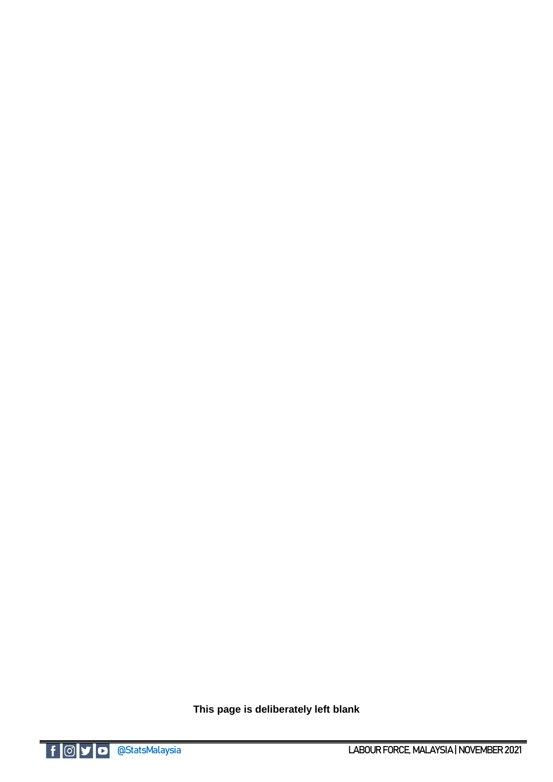**This page is deliberately left blank**

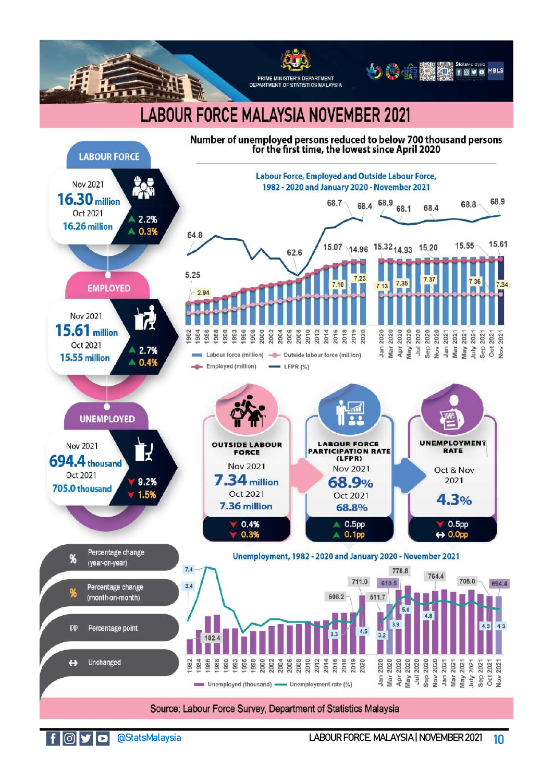## **LABOUR FORCE MALAYSIA NOVEMBER 2021**

PRIME MINISTER'S DEPARTMENT DEPARTMENT OF STATISTICS MALAYSIA



**40 美能繁华10yo** 

MBLS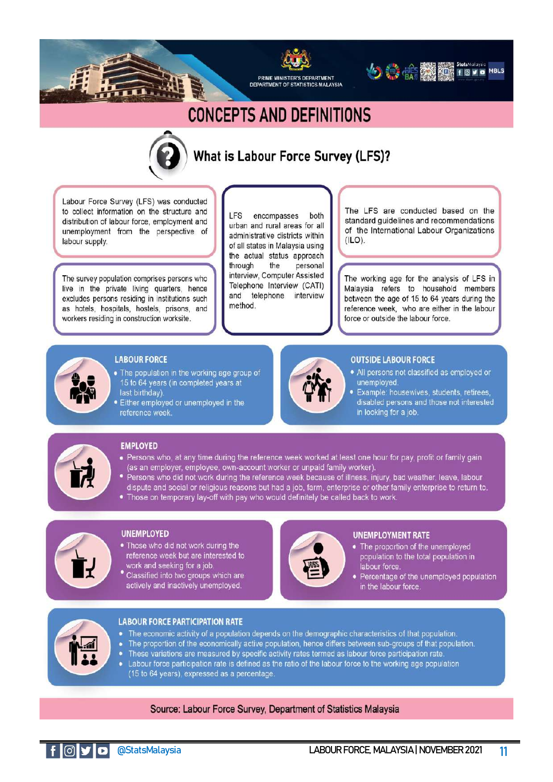



## **CONCEPTS AND DEFINITIONS**



### What is Labour Force Survey (LFS)?

Labour Force Survey (LFS) was conducted to collect information on the structure and distribution of labour force, employment and unemployment from the perspective of labour supply.

The survey population comprises persons who live in the private living quarters, hence excludes persons residing in institutions such as hotels, hospitals, hostels, prisons, and workers residing in construction worksite.

LFS encompasses both urban and rural areas for all administrative districts within of all states in Malaysia using the actual status approach through the personal interview, Computer Assisted Telephone Interview (CATI) and telephone interview method.

The LFS are conducted based on the standard quidelines and recommendations of the International Labour Organizations  $(ILO).$ 

The working age for the analysis of LFS in Malaysia refers to household members between the age of 15 to 64 years during the reference week, who are either in the labour force or outside the labour force.



#### **LABOUR FORCE**

- The population in the working age group of 15 to 64 years (in completed years at last birthday)
- **Either employed or unemployed in the** reference week.



#### **OUTSIDE LABOUR FORCE**

- All persons not classified as employed or unemployed.
- · Example: housewives, students, retirees, disabled persons and those not interested in looking for a job.



#### **EMPLOYED**

- . Persons who, at any time during the reference week worked at least one hour for pay, profit or family gain (as an employer, employee, own-account worker or unpaid family worker).
- \* Persons who did not work during the reference week because of illness, injury, bad weather, leave, labour dispute and social or religious reasons but had a job, farm, enterprise or other family enterprise to return to.
- . Those on temporary lay-off with pay who would definitely be called back to work.



#### **UNEMPLOYED**

- . Those who did not work during the reference week but are interested to work and seeking for a job.
- Classified into two groups which are actively and inactively unemployed.



#### **UNEMPLOYMENT RATE**

- The proportion of the unemployed population to the total population in labour force.
- Percentage of the unemployed population in the labour force.



#### **LABOUR FORCE PARTICIPATION RATE**

- The economic activity of a population depends on the demographic characteristics of that population.
- The proportion of the economically active population, hence differs between sub-groups of that population.
	- These variations are measured by specific activity rates termed as labour force participation rate.
- Labour force participation rate is defined as the ratio of the labour force to the working age population (15 to 64 years), expressed as a percentage.

#### Source: Labour Force Survey, Department of Statistics Malaysia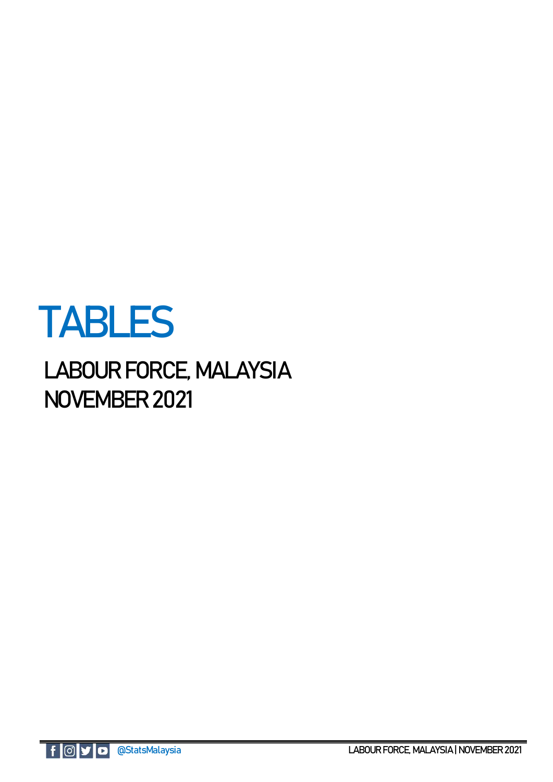# TABLES

## LABOUR FORCE, MALAYSIA NOVEMBER 2021

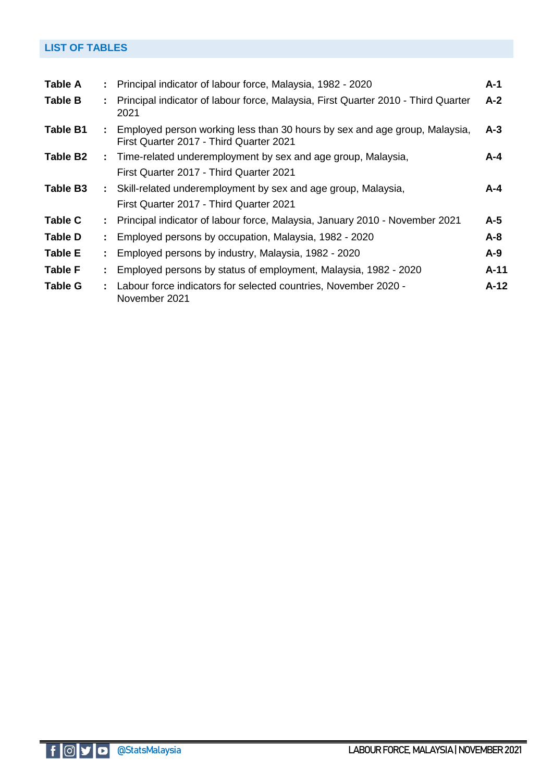#### **LIST OF TABLES**

| <b>Table A</b>       |    | Principal indicator of labour force, Malaysia, 1982 - 2020                                                            | $A-1$   |
|----------------------|----|-----------------------------------------------------------------------------------------------------------------------|---------|
| <b>Table B</b>       |    | Principal indicator of labour force, Malaysia, First Quarter 2010 - Third Quarter<br>2021                             | $A-2$   |
| Table B1             | t. | Employed person working less than 30 hours by sex and age group, Malaysia,<br>First Quarter 2017 - Third Quarter 2021 | $A-3$   |
| Table B <sub>2</sub> |    | : Time-related underemployment by sex and age group, Malaysia,                                                        | $A-4$   |
|                      |    | First Quarter 2017 - Third Quarter 2021                                                                               |         |
| Table B <sub>3</sub> |    | : Skill-related underemployment by sex and age group, Malaysia,                                                       | $A - 4$ |
|                      |    | First Quarter 2017 - Third Quarter 2021                                                                               |         |
| Table C              |    | Principal indicator of labour force, Malaysia, January 2010 - November 2021                                           | $A-5$   |
| Table D              | ÷. | Employed persons by occupation, Malaysia, 1982 - 2020                                                                 | $A-8$   |
| Table E              | ÷. | Employed persons by industry, Malaysia, 1982 - 2020                                                                   | A-9     |
| <b>Table F</b>       | ÷. | Employed persons by status of employment, Malaysia, 1982 - 2020                                                       | $A-11$  |
| <b>Table G</b>       |    | Labour force indicators for selected countries, November 2020 -<br>November 2021                                      | A-12    |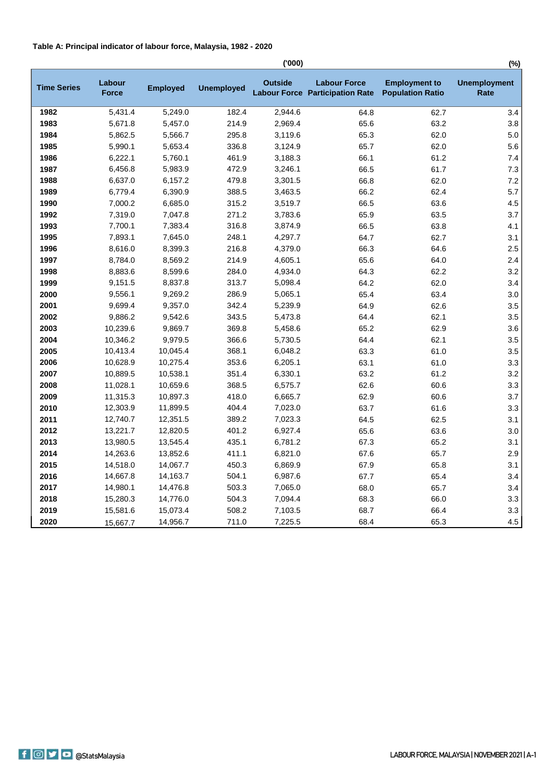#### **Table A: Principal indicator of labour force, Malaysia, 1982 - 2020**

|                    |                        |                      |                   | (000)              |                                                               |                                                 | (%)                         |
|--------------------|------------------------|----------------------|-------------------|--------------------|---------------------------------------------------------------|-------------------------------------------------|-----------------------------|
| <b>Time Series</b> | Labour<br><b>Force</b> | <b>Employed</b>      | <b>Unemployed</b> | <b>Outside</b>     | <b>Labour Force</b><br><b>Labour Force Participation Rate</b> | <b>Employment to</b><br><b>Population Ratio</b> | <b>Unemployment</b><br>Rate |
| 1982               | 5,431.4                | 5,249.0              | 182.4             | 2,944.6            | 64.8                                                          | 62.7                                            | 3.4                         |
| 1983               | 5,671.8                | 5,457.0              | 214.9             | 2,969.4            | 65.6                                                          | 63.2                                            | 3.8                         |
| 1984               | 5,862.5                | 5,566.7              | 295.8             | 3,119.6            | 65.3                                                          | 62.0                                            | $5.0\,$                     |
| 1985               | 5,990.1                | 5,653.4              | 336.8             | 3,124.9            | 65.7                                                          | 62.0                                            | 5.6                         |
| 1986               | 6,222.1                | 5,760.1              | 461.9             | 3,188.3            | 66.1                                                          | 61.2                                            | 7.4                         |
| 1987               | 6,456.8                | 5,983.9              | 472.9             | 3,246.1            | 66.5                                                          | 61.7                                            | 7.3                         |
| 1988               | 6,637.0                | 6,157.2              | 479.8             | 3,301.5            | 66.8                                                          | 62.0                                            | 7.2                         |
| 1989               | 6,779.4                | 6,390.9              | 388.5             | 3,463.5            | 66.2                                                          | 62.4                                            | 5.7                         |
| 1990               | 7,000.2                | 6,685.0              | 315.2             | 3,519.7            | 66.5                                                          | 63.6                                            | 4.5                         |
| 1992               | 7,319.0                | 7,047.8              | 271.2             | 3,783.6            | 65.9                                                          | 63.5                                            | $3.7\,$                     |
| 1993               | 7,700.1                | 7,383.4              | 316.8             | 3,874.9            | 66.5                                                          | 63.8                                            | 4.1                         |
| 1995               | 7,893.1                | 7,645.0              | 248.1             | 4,297.7            | 64.7                                                          | 62.7                                            | 3.1                         |
| 1996               | 8,616.0                | 8,399.3              | 216.8             | 4,379.0            | 66.3                                                          | 64.6                                            | 2.5                         |
| 1997               | 8,784.0                | 8,569.2              | 214.9             | 4,605.1            | 65.6                                                          | 64.0                                            | 2.4                         |
| 1998               | 8,883.6                | 8,599.6              | 284.0             | 4,934.0            | 64.3                                                          | 62.2                                            | $3.2\,$                     |
| 1999               | 9,151.5                | 8,837.8              | 313.7             | 5,098.4            | 64.2                                                          | 62.0                                            | 3.4                         |
| 2000               | 9,556.1                | 9,269.2              | 286.9             | 5,065.1            | 65.4                                                          | 63.4                                            | 3.0                         |
| 2001               | 9,699.4                | 9,357.0              | 342.4             | 5,239.9            | 64.9                                                          | 62.6                                            | 3.5                         |
| 2002               | 9,886.2                | 9,542.6              | 343.5             | 5,473.8            | 64.4                                                          | 62.1                                            | 3.5                         |
| 2003               | 10,239.6               | 9,869.7              | 369.8             | 5,458.6            | 65.2                                                          | 62.9                                            | 3.6                         |
| 2004               | 10,346.2               | 9,979.5              | 366.6             | 5,730.5            | 64.4                                                          | 62.1                                            | 3.5                         |
| 2005               | 10,413.4               | 10,045.4             | 368.1             | 6,048.2            | 63.3                                                          | 61.0                                            | 3.5                         |
| 2006               | 10,628.9               | 10,275.4             | 353.6             | 6,205.1            | 63.1                                                          | 61.0                                            | 3.3                         |
| 2007               | 10,889.5               | 10,538.1             | 351.4             | 6,330.1            | 63.2                                                          | 61.2                                            | 3.2                         |
| 2008               | 11,028.1               | 10,659.6             | 368.5             | 6,575.7            | 62.6                                                          | 60.6                                            | 3.3                         |
| 2009               | 11,315.3               | 10,897.3<br>11,899.5 | 418.0<br>404.4    | 6,665.7<br>7,023.0 | 62.9                                                          | 60.6                                            | 3.7                         |
| 2010<br>2011       | 12,303.9               | 12,351.5             | 389.2             | 7,023.3            | 63.7                                                          | 61.6                                            | 3.3                         |
| 2012               | 12,740.7               |                      | 401.2             |                    | 64.5<br>65.6                                                  | 62.5                                            | 3.1<br>3.0                  |
| 2013               | 13,221.7<br>13,980.5   | 12,820.5<br>13,545.4 | 435.1             | 6,927.4<br>6,781.2 | 67.3                                                          | 63.6<br>65.2                                    | 3.1                         |
| 2014               | 14,263.6               | 13,852.6             | 411.1             | 6,821.0            | 67.6                                                          | 65.7                                            | 2.9                         |
| 2015               | 14,518.0               | 14,067.7             | 450.3             | 6,869.9            | 67.9                                                          | 65.8                                            | 3.1                         |
| 2016               | 14,667.8               | 14,163.7             | 504.1             | 6,987.6            | 67.7                                                          | 65.4                                            | 3.4                         |
| 2017               | 14,980.1               | 14,476.8             | 503.3             | 7,065.0            | 68.0                                                          | 65.7                                            | 3.4                         |
| 2018               | 15,280.3               | 14,776.0             | 504.3             | 7,094.4            | 68.3                                                          | 66.0                                            | 3.3                         |
| 2019               | 15,581.6               | 15,073.4             | 508.2             | 7,103.5            | 68.7                                                          | 66.4                                            | 3.3                         |
| 2020               | 15,667.7               | 14,956.7             | 711.0             | 7,225.5            | 68.4                                                          | 65.3                                            | 4.5                         |
|                    |                        |                      |                   |                    |                                                               |                                                 |                             |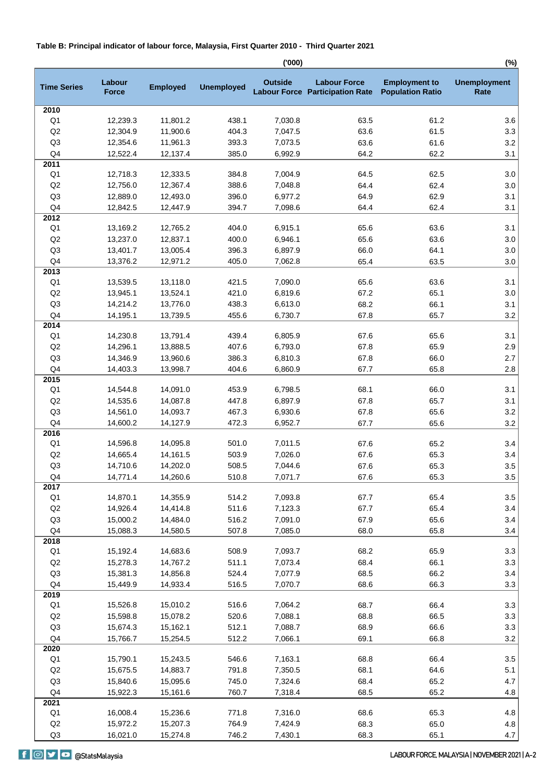#### **Table B: Principal indicator of labour force, Malaysia, First Quarter 2010 - Third Quarter 2021**

|                        |                        | (000)           |                   |                |                                                               |                                                 |                             |  |  |  |
|------------------------|------------------------|-----------------|-------------------|----------------|---------------------------------------------------------------|-------------------------------------------------|-----------------------------|--|--|--|
| <b>Time Series</b>     | Labour<br><b>Force</b> | <b>Employed</b> | <b>Unemployed</b> | <b>Outside</b> | <b>Labour Force</b><br><b>Labour Force Participation Rate</b> | <b>Employment to</b><br><b>Population Ratio</b> | <b>Unemployment</b><br>Rate |  |  |  |
| 2010                   |                        |                 |                   |                |                                                               |                                                 |                             |  |  |  |
| Q1                     | 12,239.3               | 11,801.2        | 438.1             | 7,030.8        | 63.5                                                          | 61.2                                            | 3.6                         |  |  |  |
| Q2                     | 12,304.9               | 11,900.6        | 404.3             | 7,047.5        | 63.6                                                          | 61.5                                            | 3.3                         |  |  |  |
| Q <sub>3</sub>         | 12,354.6               | 11,961.3        | 393.3             | 7,073.5        | 63.6                                                          | 61.6                                            | 3.2                         |  |  |  |
| Q4                     | 12,522.4               | 12,137.4        | 385.0             | 6,992.9        | 64.2                                                          | 62.2                                            | 3.1                         |  |  |  |
| 2011                   |                        |                 |                   |                |                                                               |                                                 |                             |  |  |  |
| Q <sub>1</sub>         | 12,718.3               | 12,333.5        | 384.8             | 7,004.9        | 64.5                                                          | 62.5                                            | 3.0                         |  |  |  |
| Q2                     | 12,756.0               | 12,367.4        | 388.6             | 7,048.8        | 64.4                                                          | 62.4                                            | 3.0                         |  |  |  |
| Q3                     | 12,889.0               | 12,493.0        | 396.0             | 6,977.2        | 64.9                                                          | 62.9                                            | 3.1                         |  |  |  |
| Q4                     | 12,842.5               | 12,447.9        | 394.7             | 7,098.6        | 64.4                                                          | 62.4                                            | 3.1                         |  |  |  |
| 2012<br>Q1             | 13,169.2               | 12,765.2        | 404.0             | 6,915.1        | 65.6                                                          | 63.6                                            | 3.1                         |  |  |  |
| Q2                     | 13,237.0               | 12,837.1        | 400.0             | 6,946.1        | 65.6                                                          | 63.6                                            | 3.0                         |  |  |  |
| Q <sub>3</sub>         | 13,401.7               | 13,005.4        | 396.3             | 6,897.9        | 66.0                                                          | 64.1                                            | 3.0                         |  |  |  |
| Q4                     | 13,376.2               | 12,971.2        | 405.0             | 7,062.8        | 65.4                                                          | 63.5                                            | 3.0                         |  |  |  |
| 2013                   |                        |                 |                   |                |                                                               |                                                 |                             |  |  |  |
| Q1                     | 13,539.5               | 13,118.0        | 421.5             | 7,090.0        | 65.6                                                          | 63.6                                            | 3.1                         |  |  |  |
| Q2                     | 13,945.1               | 13,524.1        | 421.0             | 6,819.6        | 67.2                                                          | 65.1                                            | 3.0                         |  |  |  |
| Q <sub>3</sub>         | 14,214.2               | 13,776.0        | 438.3             | 6,613.0        | 68.2                                                          | 66.1                                            | 3.1                         |  |  |  |
| Q4                     | 14,195.1               | 13,739.5        | 455.6             | 6,730.7        | 67.8                                                          | 65.7                                            | 3.2                         |  |  |  |
| 2014                   |                        |                 |                   |                |                                                               |                                                 |                             |  |  |  |
| Q <sub>1</sub>         | 14,230.8               | 13,791.4        | 439.4             | 6,805.9        | 67.6                                                          | 65.6                                            | 3.1                         |  |  |  |
| Q2                     | 14,296.1               | 13,888.5        | 407.6             | 6,793.0        | 67.8                                                          | 65.9                                            | 2.9                         |  |  |  |
| Q3                     | 14,346.9               | 13,960.6        | 386.3             | 6,810.3        | 67.8                                                          | 66.0                                            | 2.7                         |  |  |  |
| Q4                     | 14,403.3               | 13,998.7        | 404.6             | 6,860.9        | 67.7                                                          | 65.8                                            | 2.8                         |  |  |  |
| 2015                   |                        |                 |                   |                |                                                               |                                                 |                             |  |  |  |
| Q1                     | 14,544.8               | 14,091.0        | 453.9             | 6,798.5        | 68.1                                                          | 66.0                                            | 3.1                         |  |  |  |
| Q2                     | 14,535.6               | 14,087.8        | 447.8             | 6,897.9        | 67.8                                                          | 65.7                                            | 3.1                         |  |  |  |
| Q <sub>3</sub>         | 14,561.0               | 14,093.7        | 467.3             | 6,930.6        | 67.8                                                          | 65.6                                            | 3.2                         |  |  |  |
| Q <sub>4</sub><br>2016 | 14,600.2               | 14,127.9        | 472.3             | 6,952.7        | 67.7                                                          | 65.6                                            | 3.2                         |  |  |  |
| Q1                     | 14,596.8               | 14,095.8        | 501.0             | 7,011.5        | 67.6                                                          | 65.2                                            | 3.4                         |  |  |  |
| Q2                     | 14,665.4               | 14,161.5        | 503.9             | 7,026.0        | 67.6                                                          | 65.3                                            | 3.4                         |  |  |  |
| Q3                     | 14,710.6               | 14,202.0        | 508.5             | 7,044.6        | 67.6                                                          | 65.3                                            | 3.5                         |  |  |  |
| Q4                     | 14,771.4               | 14,260.6        | 510.8             | 7,071.7        | 67.6                                                          | 65.3                                            | 3.5                         |  |  |  |
| 2017                   |                        |                 |                   |                |                                                               |                                                 |                             |  |  |  |
| Q <sub>1</sub>         | 14,870.1               | 14,355.9        | 514.2             | 7,093.8        | 67.7                                                          | 65.4                                            | 3.5                         |  |  |  |
| $\mathsf{Q2}$          | 14,926.4               | 14,414.8        | 511.6             | 7,123.3        | 67.7                                                          | 65.4                                            | 3.4                         |  |  |  |
| Q3                     | 15,000.2               | 14,484.0        | 516.2             | 7,091.0        | 67.9                                                          | 65.6                                            | 3.4                         |  |  |  |
| Q <sub>4</sub>         | 15,088.3               | 14,580.5        | 507.8             | 7,085.0        | 68.0                                                          | 65.8                                            | 3.4                         |  |  |  |
| 2018                   |                        |                 |                   |                |                                                               |                                                 |                             |  |  |  |
| Q1                     | 15,192.4               | 14,683.6        | 508.9             | 7,093.7        | 68.2                                                          | 65.9                                            | 3.3                         |  |  |  |
| $\mathsf{Q2}$          | 15,278.3               | 14,767.2        | 511.1             | 7,073.4        | 68.4                                                          | 66.1                                            | 3.3                         |  |  |  |
| Q3                     | 15,381.3               | 14,856.8        | 524.4             | 7,077.9        | 68.5                                                          | 66.2                                            | 3.4                         |  |  |  |
| Q <sub>4</sub>         | 15,449.9               | 14,933.4        | 516.5             | 7,070.7        | 68.6                                                          | 66.3                                            | 3.3                         |  |  |  |
| 2019                   |                        |                 |                   |                |                                                               |                                                 |                             |  |  |  |
| Q1                     | 15,526.8               | 15,010.2        | 516.6             | 7,064.2        | 68.7                                                          | 66.4                                            | 3.3                         |  |  |  |
| Q2                     | 15,598.8               | 15,078.2        | 520.6             | 7,088.1        | 68.8                                                          | 66.5                                            | 3.3                         |  |  |  |
| Q3                     | 15,674.3               | 15,162.1        | 512.1             | 7,088.7        | 68.9                                                          | 66.6                                            | 3.3                         |  |  |  |
| Q <sub>4</sub><br>2020 | 15,766.7               | 15,254.5        | 512.2             | 7,066.1        | 69.1                                                          | 66.8                                            | 3.2                         |  |  |  |
| Q <sub>1</sub>         | 15,790.1               | 15,243.5        | 546.6             | 7,163.1        | 68.8                                                          | 66.4                                            | $3.5\,$                     |  |  |  |
| $\mathsf{Q2}$          | 15,675.5               | 14,883.7        | 791.8             | 7,350.5        | 68.1                                                          | 64.6                                            | 5.1                         |  |  |  |
| Q3                     | 15,840.6               | 15,095.6        | 745.0             | 7,324.6        | 68.4                                                          | 65.2                                            | 4.7                         |  |  |  |
| Q4                     | 15,922.3               | 15,161.6        | 760.7             | 7,318.4        | 68.5                                                          | 65.2                                            | 4.8                         |  |  |  |
| 2021                   |                        |                 |                   |                |                                                               |                                                 |                             |  |  |  |
| Q1                     | 16,008.4               | 15,236.6        | 771.8             | 7,316.0        | 68.6                                                          | 65.3                                            | 4.8                         |  |  |  |
| $\mathsf{Q2}$          | 15,972.2               | 15,207.3        | 764.9             | 7,424.9        | 68.3                                                          | 65.0                                            | 4.8                         |  |  |  |
| Q3                     | 16,021.0               | 15,274.8        | 746.2             | 7,430.1        | 68.3                                                          | 65.1                                            | 4.7                         |  |  |  |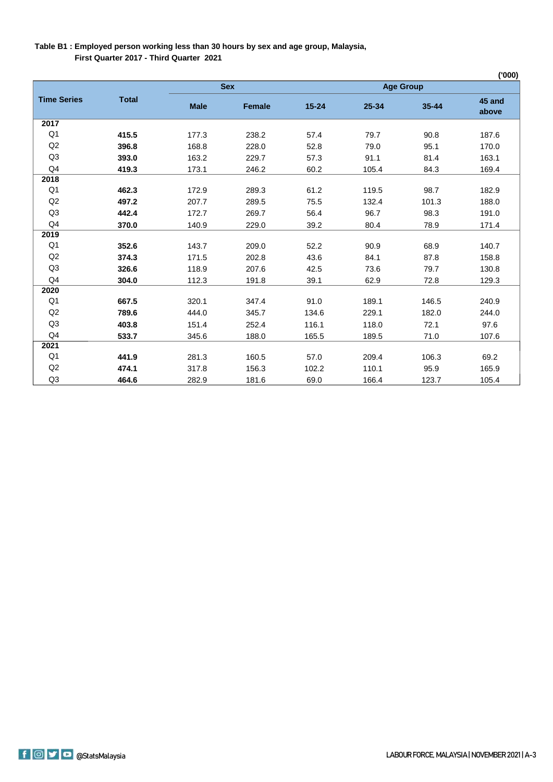#### **Table B1 : Employed person working less than 30 hours by sex and age group, Malaysia, First Quarter 2017 - Third Quarter 2021**

|                    |              |                |               |           |       |                  | (000)           |
|--------------------|--------------|----------------|---------------|-----------|-------|------------------|-----------------|
|                    |              |                | <b>Sex</b>    |           |       | <b>Age Group</b> |                 |
| <b>Time Series</b> | <b>Total</b> | <b>Male</b>    | <b>Female</b> | $15 - 24$ | 25-34 | 35-44            | 45 and<br>above |
| 2017               |              |                |               |           |       |                  |                 |
| Q <sub>1</sub>     | 415.5        | 177.3          | 238.2         | 57.4      | 79.7  | 90.8             | 187.6           |
| Q <sub>2</sub>     | 396.8        | 168.8          | 228.0         | 52.8      | 79.0  | 95.1             | 170.0           |
| Q <sub>3</sub>     | 393.0        | 163.2<br>229.7 |               | 57.3      | 91.1  | 81.4             | 163.1           |
| Q4                 | 419.3        | 173.1          | 246.2         | 60.2      | 105.4 | 84.3             | 169.4           |
| 2018               |              |                |               |           |       |                  |                 |
| Q <sub>1</sub>     | 462.3        | 172.9          | 289.3         | 61.2      | 119.5 | 98.7             | 182.9           |
| Q2                 | 497.2        | 207.7          | 289.5         | 75.5      | 132.4 | 101.3            | 188.0           |
| Q <sub>3</sub>     | 442.4        | 172.7          | 269.7         | 56.4      | 96.7  | 98.3             | 191.0           |
| Q4                 | 370.0        | 140.9          | 229.0         | 39.2      | 80.4  | 78.9             | 171.4           |
| 2019               |              |                |               |           |       |                  |                 |
| Q1                 | 352.6        | 143.7          | 209.0         | 52.2      | 90.9  | 68.9             | 140.7           |
| Q2                 | 374.3        | 171.5          | 202.8         | 43.6      | 84.1  | 87.8             | 158.8           |
| Q <sub>3</sub>     | 326.6        | 118.9          | 207.6         | 42.5      | 73.6  | 79.7             | 130.8           |
| Q4                 | 304.0        | 112.3          | 191.8         | 39.1      | 62.9  | 72.8             | 129.3           |
| 2020               |              |                |               |           |       |                  |                 |
| Q <sub>1</sub>     | 667.5        | 320.1          | 347.4         | 91.0      | 189.1 | 146.5            | 240.9           |
| Q2                 | 789.6        | 444.0          | 345.7         | 134.6     | 229.1 | 182.0            | 244.0           |
| Q <sub>3</sub>     | 403.8        | 151.4          | 252.4         | 116.1     | 118.0 | 72.1             | 97.6            |
| Q4                 | 533.7        | 345.6          | 188.0         | 165.5     | 189.5 | 71.0             | 107.6           |
| 2021               |              |                |               |           |       |                  |                 |
| Q1                 | 441.9        | 281.3          | 160.5         | 57.0      | 209.4 | 106.3            | 69.2            |
| Q2                 | 474.1        | 317.8          | 156.3         | 102.2     | 110.1 | 95.9             | 165.9           |
| Q3                 | 464.6        | 282.9          | 181.6         | 69.0      | 166.4 | 123.7            | 105.4           |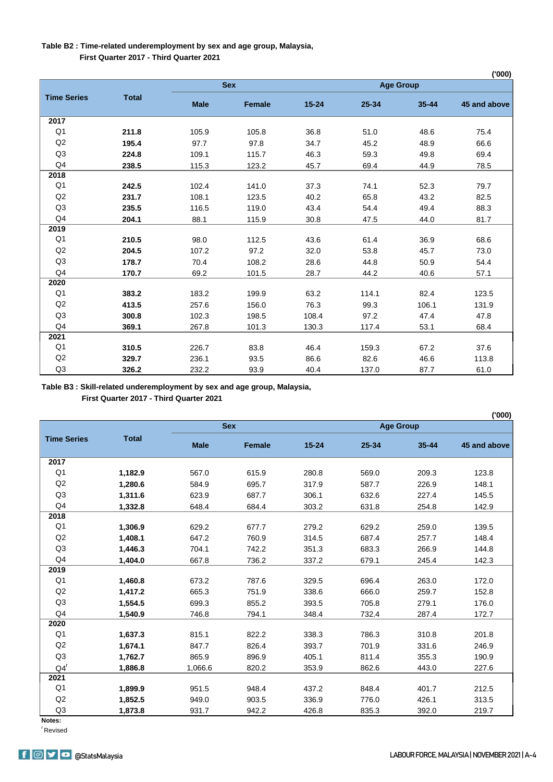#### **Table B2 : Time-related underemployment by sex and age group, Malaysia, First Quarter 2017 - Third Quarter 2021**

|                    |              |             |               |           |       |                  | ('000)       |
|--------------------|--------------|-------------|---------------|-----------|-------|------------------|--------------|
|                    |              |             | <b>Sex</b>    |           |       | <b>Age Group</b> |              |
| <b>Time Series</b> | <b>Total</b> | <b>Male</b> | <b>Female</b> | $15 - 24$ | 25-34 | $35 - 44$        | 45 and above |
| 2017               |              |             |               |           |       |                  |              |
| Q <sub>1</sub>     | 211.8        | 105.9       | 105.8         | 36.8      | 51.0  | 48.6             | 75.4         |
| Q2                 | 195.4        | 97.7        | 97.8          | 34.7      | 45.2  | 48.9             | 66.6         |
| Q <sub>3</sub>     | 224.8        | 109.1       | 115.7         | 46.3      | 59.3  | 49.8             | 69.4         |
| Q <sub>4</sub>     | 238.5        | 115.3       | 123.2         | 45.7      | 69.4  | 44.9             | 78.5         |
| 2018               |              |             |               |           |       |                  |              |
| Q1                 | 242.5        | 102.4       | 141.0         | 37.3      | 74.1  | 52.3             | 79.7         |
| Q2                 | 231.7        | 108.1       | 123.5         | 40.2      | 65.8  | 43.2             | 82.5         |
| Q <sub>3</sub>     | 235.5        | 116.5       | 119.0         | 43.4      | 54.4  | 49.4             | 88.3         |
| Q <sub>4</sub>     | 204.1        | 88.1        | 115.9         | 30.8      | 47.5  | 44.0             | 81.7         |
| 2019               |              |             |               |           |       |                  |              |
| Q1                 | 210.5        | 98.0        | 112.5         | 43.6      | 61.4  | 36.9             | 68.6         |
| Q2                 | 204.5        | 107.2       | 97.2          | 32.0      | 53.8  | 45.7             | 73.0         |
| Q <sub>3</sub>     | 178.7        | 70.4        | 108.2         | 28.6      | 44.8  | 50.9             | 54.4         |
| Q <sub>4</sub>     | 170.7        | 69.2        | 101.5         | 28.7      | 44.2  | 40.6             | 57.1         |
| 2020               |              |             |               |           |       |                  |              |
| Q1                 | 383.2        | 183.2       | 199.9         | 63.2      | 114.1 | 82.4             | 123.5        |
| Q2                 | 413.5        | 257.6       | 156.0         | 76.3      | 99.3  | 106.1            | 131.9        |
| Q <sub>3</sub>     | 300.8        | 102.3       | 198.5         | 108.4     | 97.2  | 47.4             | 47.8         |
| Q <sub>4</sub>     | 369.1        | 267.8       | 101.3         | 130.3     | 117.4 | 53.1             | 68.4         |
| 2021               |              |             |               |           |       |                  |              |
| Q <sub>1</sub>     | 310.5        | 226.7       | 83.8          | 46.4      | 159.3 | 67.2             | 37.6         |
| Q2                 | 329.7        | 236.1       | 93.5          | 86.6      | 82.6  | 46.6             | 113.8        |
| Q <sub>3</sub>     | 326.2        | 232.2       | 93.9          | 40.4      | 137.0 | 87.7             | 61.0         |

**Table B3 : Skill-related underemployment by sex and age group, Malaysia, First Quarter 2017 - Third Quarter 2021**

|                    |              |             |               |           |       |                  | (000)        |
|--------------------|--------------|-------------|---------------|-----------|-------|------------------|--------------|
|                    |              |             | <b>Sex</b>    |           |       | <b>Age Group</b> |              |
| <b>Time Series</b> | <b>Total</b> | <b>Male</b> | <b>Female</b> | $15 - 24$ | 25-34 | $35 - 44$        | 45 and above |
| 2017               |              |             |               |           |       |                  |              |
| Q <sub>1</sub>     | 1,182.9      | 567.0       | 615.9         | 280.8     | 569.0 | 209.3            | 123.8        |
| Q2                 | 1,280.6      | 584.9       | 695.7         | 317.9     | 587.7 | 226.9            | 148.1        |
| Q <sub>3</sub>     | 1,311.6      | 623.9       | 687.7         | 306.1     | 632.6 | 227.4            | 145.5        |
| Q <sub>4</sub>     | 1,332.8      | 648.4       | 684.4         | 303.2     | 631.8 | 254.8            | 142.9        |
| 2018               |              |             |               |           |       |                  |              |
| Q1                 | 1,306.9      | 629.2       | 677.7         | 279.2     | 629.2 | 259.0            | 139.5        |
| Q2                 | 1,408.1      | 647.2       | 760.9         | 314.5     | 687.4 | 257.7            | 148.4        |
| Q <sub>3</sub>     | 1,446.3      | 704.1       | 742.2         | 351.3     | 683.3 | 266.9            | 144.8        |
| Q <sub>4</sub>     | 1,404.0      | 667.8       | 736.2         | 337.2     | 679.1 | 245.4            | 142.3        |
| 2019               |              |             |               |           |       |                  |              |
| Q <sub>1</sub>     | 1,460.8      | 673.2       | 787.6         | 329.5     | 696.4 | 263.0            | 172.0        |
| Q2                 | 1,417.2      | 665.3       | 751.9         | 338.6     | 666.0 | 259.7            | 152.8        |
| Q <sub>3</sub>     | 1,554.5      | 699.3       | 855.2         | 393.5     | 705.8 | 279.1            | 176.0        |
| Q <sub>4</sub>     | 1,540.9      | 746.8       | 794.1         | 348.4     | 732.4 | 287.4            | 172.7        |
| 2020               |              |             |               |           |       |                  |              |
| Q <sub>1</sub>     | 1,637.3      | 815.1       | 822.2         | 338.3     | 786.3 | 310.8            | 201.8        |
| Q2                 | 1,674.1      | 847.7       | 826.4         | 393.7     | 701.9 | 331.6            | 246.9        |
| Q <sub>3</sub>     | 1,762.7      | 865.9       | 896.9         | 405.1     | 811.4 | 355.3            | 190.9        |
| $Q4^r$             | 1,886.8      | 1,066.6     | 820.2         | 353.9     | 862.6 | 443.0            | 227.6        |
| 2021               |              |             |               |           |       |                  |              |
| Q <sub>1</sub>     | 1,899.9      | 951.5       | 948.4         | 437.2     | 848.4 | 401.7            | 212.5        |
| Q2                 | 1,852.5      | 949.0       | 903.5         | 336.9     | 776.0 | 426.1            | 313.5        |
| Q <sub>3</sub>     | 1,873.8      | 931.7       | 942.2         | 426.8     | 835.3 | 392.0            | 219.7        |

**Notes:** <sup>r</sup> Revised



**('000)**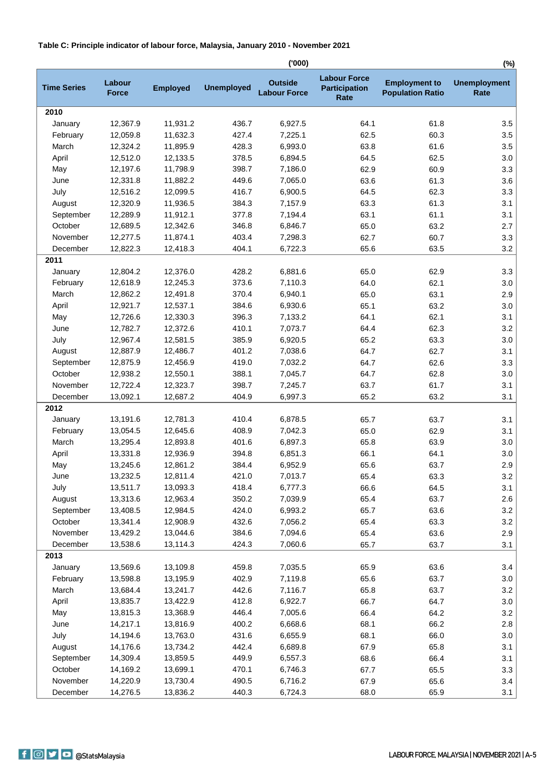#### **Table C: Principle indicator of labour force, Malaysia, January 2010 - November 2021**

|                    |                 |                 |                   | (000)                                 |                                                     |                                                 | (%)                         |
|--------------------|-----------------|-----------------|-------------------|---------------------------------------|-----------------------------------------------------|-------------------------------------------------|-----------------------------|
| <b>Time Series</b> | Labour<br>Force | <b>Employed</b> | <b>Unemployed</b> | <b>Outside</b><br><b>Labour Force</b> | <b>Labour Force</b><br><b>Participation</b><br>Rate | <b>Employment to</b><br><b>Population Ratio</b> | <b>Unemployment</b><br>Rate |
| 2010               |                 |                 |                   |                                       |                                                     |                                                 |                             |
| January            | 12,367.9        | 11,931.2        | 436.7             | 6,927.5                               | 64.1                                                | 61.8                                            | 3.5                         |
| February           | 12,059.8        | 11,632.3        | 427.4             | 7,225.1                               | 62.5                                                | 60.3                                            | 3.5                         |
| March              | 12,324.2        | 11,895.9        | 428.3             | 6,993.0                               | 63.8                                                | 61.6                                            | 3.5                         |
| April              | 12,512.0        | 12,133.5        | 378.5             | 6,894.5                               | 64.5                                                | 62.5                                            | 3.0                         |
| May                | 12,197.6        | 11,798.9        | 398.7             | 7,186.0                               | 62.9                                                | 60.9                                            | 3.3                         |
| June               | 12,331.8        | 11,882.2        | 449.6             | 7,065.0                               | 63.6                                                | 61.3                                            | 3.6                         |
| July               | 12,516.2        | 12,099.5        | 416.7             | 6,900.5                               | 64.5                                                | 62.3                                            | 3.3                         |
| August             | 12,320.9        | 11,936.5        | 384.3             | 7,157.9                               | 63.3                                                | 61.3                                            | 3.1                         |
| September          | 12,289.9        | 11,912.1        | 377.8             | 7,194.4                               | 63.1                                                | 61.1                                            | 3.1                         |
| October            | 12,689.5        | 12,342.6        | 346.8             | 6,846.7                               | 65.0                                                | 63.2                                            | 2.7                         |
| November           | 12,277.5        | 11,874.1        | 403.4             | 7,298.3                               | 62.7                                                | 60.7                                            | 3.3                         |
| December           | 12,822.3        | 12,418.3        | 404.1             | 6,722.3                               | 65.6                                                | 63.5                                            | 3.2                         |
| 2011               |                 |                 |                   |                                       |                                                     |                                                 |                             |
| January            | 12,804.2        | 12,376.0        | 428.2             | 6,881.6                               | 65.0                                                | 62.9                                            | 3.3                         |
| February           | 12,618.9        | 12,245.3        | 373.6             | 7,110.3                               | 64.0                                                | 62.1                                            | 3.0                         |
| March              | 12,862.2        | 12,491.8        | 370.4             | 6,940.1                               | 65.0                                                | 63.1                                            | 2.9                         |
| April              | 12,921.7        | 12,537.1        | 384.6             | 6,930.6                               | 65.1                                                | 63.2                                            | 3.0                         |
| May                | 12,726.6        | 12,330.3        | 396.3             | 7,133.2                               | 64.1                                                | 62.1                                            | 3.1                         |
| June               | 12,782.7        | 12,372.6        | 410.1             | 7,073.7                               | 64.4                                                | 62.3                                            | 3.2                         |
| July               | 12,967.4        | 12,581.5        | 385.9             | 6,920.5                               | 65.2                                                | 63.3                                            | 3.0                         |
| August             | 12,887.9        | 12,486.7        | 401.2             | 7,038.6                               | 64.7                                                | 62.7                                            | 3.1                         |
| September          | 12,875.9        | 12,456.9        | 419.0             | 7,032.2                               | 64.7                                                | 62.6                                            | 3.3                         |
| October            | 12,938.2        | 12,550.1        | 388.1             | 7,045.7                               | 64.7                                                | 62.8                                            | 3.0                         |
| November           | 12,722.4        | 12,323.7        | 398.7             | 7,245.7                               | 63.7                                                | 61.7                                            | 3.1                         |
| December           | 13,092.1        | 12,687.2        | 404.9             | 6,997.3                               | 65.2                                                | 63.2                                            | 3.1                         |
| 2012               |                 |                 |                   |                                       |                                                     |                                                 |                             |
| January            | 13,191.6        | 12,781.3        | 410.4             | 6,878.5                               | 65.7                                                | 63.7                                            | 3.1                         |
| February           | 13,054.5        | 12,645.6        | 408.9             | 7,042.3                               | 65.0                                                | 62.9                                            | 3.1                         |
| March              | 13,295.4        | 12,893.8        | 401.6             | 6,897.3                               | 65.8                                                | 63.9                                            | 3.0                         |
| April              | 13,331.8        | 12,936.9        | 394.8             | 6,851.3                               | 66.1                                                | 64.1                                            | 3.0                         |
| May                | 13,245.6        | 12,861.2        | 384.4             | 6,952.9                               | 65.6                                                | 63.7                                            | 2.9                         |
| June               | 13,232.5        | 12,811.4        | 421.0             | 7,013.7                               | 65.4                                                | 63.3                                            | 3.2                         |
| July               | 13,511.7        | 13,093.3        | 418.4             | 6,777.3                               | 66.6                                                | 64.5                                            | 3.1                         |
| August             | 13,313.6        | 12,963.4        | 350.2             | 7,039.9                               | 65.4                                                | 63.7                                            | 2.6                         |
| September          | 13,408.5        | 12,984.5        | 424.0             | 6,993.2                               | 65.7                                                | 63.6                                            | 3.2                         |
| October            | 13,341.4        | 12,908.9        | 432.6             | 7,056.2                               | 65.4                                                | 63.3                                            | $3.2\,$                     |
| November           | 13,429.2        | 13,044.6        | 384.6             | 7,094.6                               | 65.4                                                | 63.6                                            | 2.9                         |
| December           | 13,538.6        | 13,114.3        | 424.3             | 7,060.6                               | 65.7                                                | 63.7                                            | 3.1                         |
| 2013               |                 |                 |                   |                                       |                                                     |                                                 |                             |
| January            | 13,569.6        | 13,109.8        | 459.8             | 7,035.5                               | 65.9                                                | 63.6                                            | 3.4                         |
| February           | 13,598.8        | 13,195.9        | 402.9             | 7,119.8                               | 65.6                                                | 63.7                                            | $3.0\,$                     |
| March              | 13,684.4        | 13,241.7        | 442.6             | 7,116.7                               | 65.8                                                | 63.7                                            | $3.2\,$                     |
| April              | 13,835.7        | 13,422.9        | 412.8             | 6,922.7                               | 66.7                                                | 64.7                                            | $3.0\,$                     |
| May                | 13,815.3        | 13,368.9        | 446.4             | 7,005.6                               | 66.4                                                | 64.2                                            | $3.2\,$                     |
| June               | 14,217.1        | 13,816.9        | 400.2             | 6,668.6                               | 68.1                                                | 66.2                                            | $2.8\,$                     |
| July               | 14,194.6        | 13,763.0        | 431.6             | 6,655.9                               | 68.1                                                | 66.0                                            | $3.0\,$                     |
| August             | 14,176.6        | 13,734.2        | 442.4             | 6,689.8                               | 67.9                                                | 65.8                                            | 3.1                         |
| September          | 14,309.4        | 13,859.5        | 449.9             | 6,557.3                               | 68.6                                                | 66.4                                            | 3.1                         |
| October            | 14,169.2        | 13,699.1        | 470.1             | 6,746.3                               | 67.7                                                | 65.5                                            | 3.3                         |
| November           | 14,220.9        | 13,730.4        | 490.5             | 6,716.2                               | 67.9                                                | 65.6                                            | 3.4                         |
| December           | 14,276.5        | 13,836.2        | 440.3             | 6,724.3                               | 68.0                                                | 65.9                                            | 3.1                         |
|                    |                 |                 |                   |                                       |                                                     |                                                 |                             |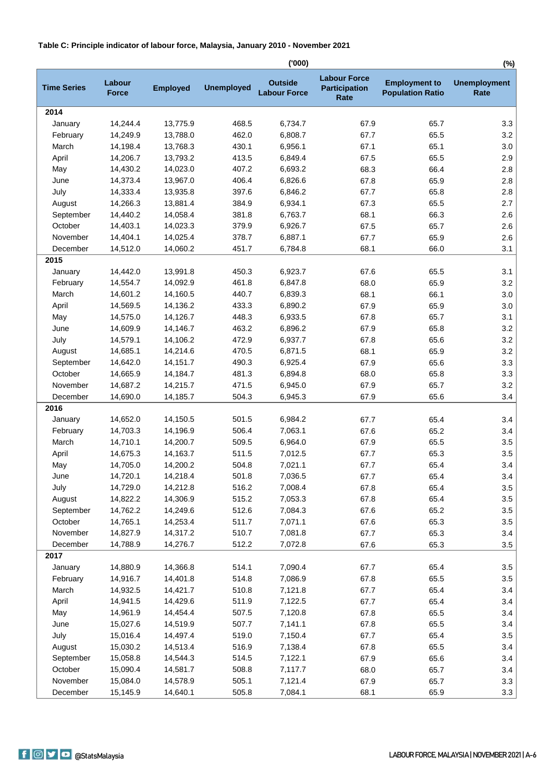#### **Table C: Principle indicator of labour force, Malaysia, January 2010 - November 2021**

|                    |                        |                 |                   | (000)                                 |                                                     |                                                 | (%)                         |
|--------------------|------------------------|-----------------|-------------------|---------------------------------------|-----------------------------------------------------|-------------------------------------------------|-----------------------------|
| <b>Time Series</b> | Labour<br><b>Force</b> | <b>Employed</b> | <b>Unemployed</b> | <b>Outside</b><br><b>Labour Force</b> | <b>Labour Force</b><br><b>Participation</b><br>Rate | <b>Employment to</b><br><b>Population Ratio</b> | <b>Unemployment</b><br>Rate |
| 2014               |                        |                 |                   |                                       |                                                     |                                                 |                             |
| January            | 14,244.4               | 13,775.9        | 468.5             | 6,734.7                               | 67.9                                                | 65.7                                            | 3.3                         |
| February           | 14,249.9               | 13,788.0        | 462.0             | 6,808.7                               | 67.7                                                | 65.5                                            | 3.2                         |
| March              | 14,198.4               | 13,768.3        | 430.1             | 6,956.1                               | 67.1                                                | 65.1                                            | 3.0                         |
| April              | 14,206.7               | 13,793.2        | 413.5             | 6,849.4                               | 67.5                                                | 65.5                                            | 2.9                         |
| May                | 14,430.2               | 14,023.0        | 407.2             | 6,693.2                               | 68.3                                                | 66.4                                            | 2.8                         |
| June               | 14,373.4               | 13,967.0        | 406.4             | 6,826.6                               | 67.8                                                | 65.9                                            | 2.8                         |
| July               | 14,333.4               | 13,935.8        | 397.6             | 6,846.2                               | 67.7                                                | 65.8                                            | 2.8                         |
| August             | 14,266.3               | 13,881.4        | 384.9             | 6,934.1                               | 67.3                                                | 65.5                                            | 2.7                         |
| September          | 14,440.2               | 14,058.4        | 381.8             | 6,763.7                               | 68.1                                                | 66.3                                            | 2.6                         |
| October            | 14,403.1               | 14,023.3        | 379.9             | 6,926.7                               | 67.5                                                | 65.7                                            | 2.6                         |
| November           | 14,404.1               | 14,025.4        | 378.7             | 6,887.1                               | 67.7                                                | 65.9                                            | 2.6                         |
| December           | 14,512.0               | 14,060.2        | 451.7             | 6,784.8                               | 68.1                                                | 66.0                                            | 3.1                         |
| 2015               |                        |                 |                   |                                       |                                                     |                                                 |                             |
| January            | 14,442.0               | 13,991.8        | 450.3             | 6,923.7                               | 67.6                                                | 65.5                                            | 3.1                         |
| February           | 14,554.7               | 14,092.9        | 461.8             | 6,847.8                               | 68.0                                                | 65.9                                            | 3.2                         |
| March              | 14,601.2               | 14,160.5        | 440.7             | 6,839.3                               | 68.1                                                | 66.1                                            | 3.0                         |
| April              | 14,569.5               | 14,136.2        | 433.3             | 6,890.2                               | 67.9                                                | 65.9                                            | 3.0                         |
| May                | 14,575.0               | 14,126.7        | 448.3             | 6,933.5                               | 67.8                                                | 65.7                                            | 3.1                         |
| June               | 14,609.9               | 14,146.7        | 463.2             | 6,896.2                               | 67.9                                                | 65.8                                            | 3.2                         |
| July               | 14,579.1               | 14,106.2        | 472.9             | 6,937.7                               | 67.8                                                | 65.6                                            | 3.2                         |
| August             | 14,685.1               | 14,214.6        | 470.5             | 6,871.5                               | 68.1                                                | 65.9                                            | 3.2                         |
| September          | 14,642.0               | 14,151.7        | 490.3             | 6,925.4                               | 67.9                                                | 65.6                                            | 3.3                         |
| October            | 14,665.9               | 14,184.7        | 481.3             | 6,894.8                               | 68.0                                                | 65.8                                            | 3.3                         |
| November           | 14,687.2               | 14,215.7        | 471.5             | 6,945.0                               | 67.9                                                | 65.7                                            | 3.2                         |
| December           | 14,690.0               | 14,185.7        | 504.3             | 6,945.3                               | 67.9                                                | 65.6                                            | 3.4                         |
| 2016               |                        |                 |                   |                                       |                                                     |                                                 |                             |
| January            | 14,652.0               | 14,150.5        | 501.5             | 6,984.2                               | 67.7                                                | 65.4                                            | 3.4                         |
| February           | 14,703.3               | 14,196.9        | 506.4             | 7,063.1                               | 67.6                                                | 65.2                                            | 3.4                         |
| March              | 14,710.1               | 14,200.7        | 509.5             | 6,964.0                               | 67.9                                                | 65.5                                            | 3.5                         |
| April              | 14,675.3               | 14,163.7        | 511.5             | 7,012.5                               | 67.7                                                | 65.3                                            | 3.5                         |
| May                | 14,705.0               | 14,200.2        | 504.8             | 7,021.1                               | 67.7                                                | 65.4                                            | 3.4                         |
| June               | 14,720.1               | 14,218.4        | 501.8             | 7,036.5                               | 67.7                                                | 65.4                                            | 3.4                         |
| July               | 14,729.0               | 14,212.8        | 516.2             | 7,008.4                               | 67.8                                                | 65.4                                            | 3.5                         |
| August             | 14,822.2               | 14,306.9        | 515.2             | 7,053.3                               | 67.8                                                | 65.4                                            | 3.5                         |
| September          | 14,762.2               | 14,249.6        | 512.6             | 7,084.3                               | 67.6                                                | 65.2                                            | $3.5\,$                     |
| October            | 14,765.1               | 14,253.4        | 511.7             | 7,071.1                               | 67.6                                                | 65.3                                            | $3.5\,$                     |
| November           | 14,827.9               | 14,317.2        | 510.7             | 7,081.8                               | 67.7                                                | 65.3                                            | 3.4                         |
| December           | 14,788.9               | 14,276.7        | 512.2             | 7,072.8                               | 67.6                                                | 65.3                                            | $3.5\,$                     |
| 2017               |                        |                 |                   |                                       |                                                     |                                                 |                             |
| January            | 14,880.9               | 14,366.8        | 514.1             | 7,090.4                               | 67.7                                                | 65.4                                            | 3.5                         |
| February           | 14,916.7               | 14,401.8        | 514.8             | 7,086.9                               | 67.8                                                | 65.5                                            | $3.5\,$                     |
| March              | 14,932.5               | 14,421.7        | 510.8             | 7,121.8                               | 67.7                                                | 65.4                                            | 3.4                         |
| April              | 14,941.5               | 14,429.6        | 511.9             | 7,122.5                               | 67.7                                                | 65.4                                            | 3.4                         |
| May                | 14,961.9               | 14,454.4        | 507.5             | 7,120.8                               | 67.8                                                | 65.5                                            | 3.4                         |
| June               | 15,027.6               | 14,519.9        | 507.7             | 7,141.1                               | 67.8                                                | 65.5                                            | 3.4                         |
| July               | 15,016.4               | 14,497.4        | 519.0             | 7,150.4                               | 67.7                                                | 65.4                                            | $3.5\,$                     |
| August             | 15,030.2               | 14,513.4        | 516.9             | 7,138.4                               | 67.8                                                | 65.5                                            | 3.4                         |
| September          | 15,058.8               | 14,544.3        | 514.5             | 7,122.1                               | 67.9                                                | 65.6                                            | 3.4                         |
| October            | 15,090.4               | 14,581.7        | 508.8             | 7,117.7                               | 68.0                                                | 65.7                                            | 3.4                         |
| November           | 15,084.0               | 14,578.9        | 505.1             | 7,121.4                               | 67.9                                                | 65.7                                            | 3.3                         |
| December           | 15,145.9               | 14,640.1        | 505.8             | 7,084.1                               | 68.1                                                | 65.9                                            | 3.3                         |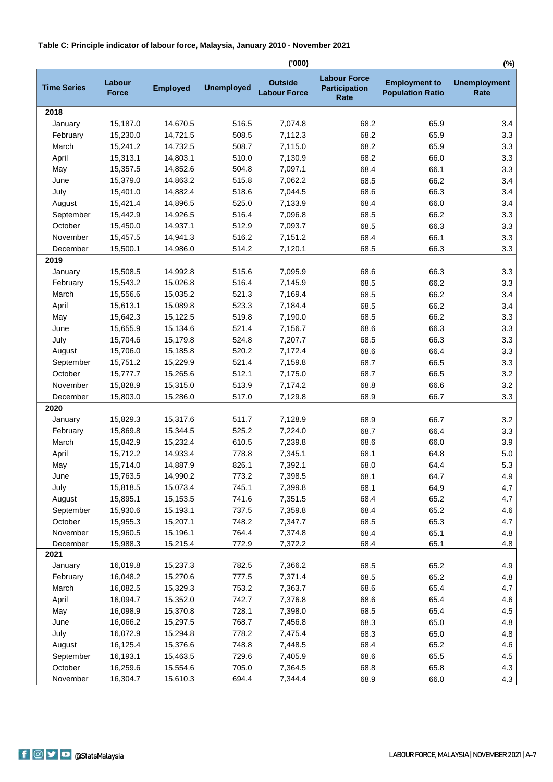#### **Table C: Principle indicator of labour force, Malaysia, January 2010 - November 2021**

|                    |                        |                 |                   | (000)                                 |                                                     |                                                 | (%)                         |
|--------------------|------------------------|-----------------|-------------------|---------------------------------------|-----------------------------------------------------|-------------------------------------------------|-----------------------------|
| <b>Time Series</b> | Labour<br><b>Force</b> | <b>Employed</b> | <b>Unemployed</b> | <b>Outside</b><br><b>Labour Force</b> | <b>Labour Force</b><br><b>Participation</b><br>Rate | <b>Employment to</b><br><b>Population Ratio</b> | <b>Unemployment</b><br>Rate |
| 2018               |                        |                 |                   |                                       |                                                     |                                                 |                             |
| January            | 15,187.0               | 14,670.5        | 516.5             | 7,074.8                               | 68.2                                                | 65.9                                            | 3.4                         |
| February           | 15,230.0               | 14,721.5        | 508.5             | 7,112.3                               | 68.2                                                | 65.9                                            | 3.3                         |
| March              | 15,241.2               | 14,732.5        | 508.7             | 7,115.0                               | 68.2                                                | 65.9                                            | 3.3                         |
| April              | 15,313.1               | 14,803.1        | 510.0             | 7,130.9                               | 68.2                                                | 66.0                                            | 3.3                         |
| May                | 15,357.5               | 14,852.6        | 504.8             | 7,097.1                               | 68.4                                                | 66.1                                            | 3.3                         |
| June               | 15,379.0               | 14,863.2        | 515.8             | 7,062.2                               | 68.5                                                | 66.2                                            | 3.4                         |
| July               | 15,401.0               | 14,882.4        | 518.6             | 7,044.5                               | 68.6                                                | 66.3                                            | 3.4                         |
| August             | 15,421.4               | 14,896.5        | 525.0             | 7,133.9                               | 68.4                                                | 66.0                                            | 3.4                         |
| September          | 15,442.9               | 14,926.5        | 516.4             | 7,096.8                               | 68.5                                                | 66.2                                            | 3.3                         |
| October            | 15,450.0               | 14,937.1        | 512.9             | 7,093.7                               | 68.5                                                | 66.3                                            | 3.3                         |
| November           | 15,457.5               | 14,941.3        | 516.2             | 7,151.2                               | 68.4                                                | 66.1                                            | 3.3                         |
| December           | 15,500.1               | 14,986.0        | 514.2             | 7,120.1                               | 68.5                                                | 66.3                                            | 3.3                         |
| 2019               |                        |                 |                   |                                       |                                                     |                                                 |                             |
| January            | 15,508.5               | 14,992.8        | 515.6             | 7,095.9                               | 68.6                                                | 66.3                                            | 3.3                         |
| February           | 15,543.2               | 15,026.8        | 516.4             | 7,145.9                               | 68.5                                                | 66.2                                            | 3.3                         |
| March              | 15,556.6               | 15,035.2        | 521.3             | 7,169.4                               | 68.5                                                | 66.2                                            | 3.4                         |
| April              | 15,613.1               | 15,089.8        | 523.3             | 7,184.4                               | 68.5                                                | 66.2                                            | 3.4                         |
| May                | 15,642.3               | 15,122.5        | 519.8             | 7,190.0                               | 68.5                                                | 66.2                                            | 3.3                         |
| June               | 15,655.9               | 15,134.6        | 521.4             | 7,156.7                               | 68.6                                                | 66.3                                            | 3.3                         |
| July               | 15,704.6               | 15,179.8        | 524.8             | 7,207.7                               | 68.5                                                | 66.3                                            | 3.3                         |
| August             | 15,706.0               | 15,185.8        | 520.2             | 7,172.4                               | 68.6                                                | 66.4                                            | 3.3                         |
| September          | 15,751.2               | 15,229.9        | 521.4             | 7,159.8                               | 68.7                                                | 66.5                                            | 3.3                         |
| October            | 15,777.7               | 15,265.6        | 512.1             | 7,175.0                               | 68.7                                                | 66.5                                            | 3.2                         |
| November           | 15,828.9               | 15,315.0        | 513.9             | 7,174.2                               | 68.8                                                | 66.6                                            | 3.2                         |
| December           | 15,803.0               | 15,286.0        | 517.0             | 7,129.8                               | 68.9                                                | 66.7                                            | 3.3                         |
| 2020               |                        |                 |                   |                                       |                                                     |                                                 |                             |
| January            | 15,829.3               | 15,317.6        | 511.7             | 7,128.9                               | 68.9                                                | 66.7                                            | 3.2                         |
| February           | 15,869.8               | 15,344.5        | 525.2             | 7,224.0                               | 68.7                                                | 66.4                                            | 3.3                         |
| March              | 15,842.9               | 15,232.4        | 610.5             | 7,239.8                               | 68.6                                                | 66.0                                            | 3.9                         |
| April              | 15,712.2               | 14,933.4        | 778.8             | 7,345.1                               | 68.1                                                | 64.8                                            | $5.0\,$                     |
| May                | 15,714.0               | 14,887.9        | 826.1             | 7,392.1                               | 68.0                                                | 64.4                                            | 5.3                         |
| June               | 15,763.5               | 14,990.2        | 773.2             | 7,398.5                               | 68.1                                                | 64.7                                            | 4.9                         |
| July               | 15,818.5               | 15,073.4        | 745.1             | 7,399.8                               | 68.1                                                | 64.9                                            | 4.7                         |
| August             | 15,895.1               | 15,153.5        | 741.6             | 7,351.5                               | 68.4                                                | 65.2                                            | 4.7                         |
| September          | 15,930.6               | 15,193.1        | 737.5             | 7,359.8                               | 68.4                                                | 65.2                                            | 4.6                         |
| October            | 15,955.3               | 15,207.1        | 748.2             | 7,347.7                               | 68.5                                                | 65.3                                            | 4.7                         |
| November           | 15,960.5               | 15,196.1        | 764.4             | 7,374.8                               | 68.4                                                | 65.1                                            | 4.8                         |
| December           | 15,988.3               | 15,215.4        | 772.9             | 7,372.2                               | 68.4                                                | 65.1                                            | 4.8                         |
| 2021               |                        |                 |                   |                                       |                                                     |                                                 |                             |
| January            | 16,019.8               | 15,237.3        | 782.5             | 7,366.2                               | 68.5                                                | 65.2                                            | 4.9                         |
| February           | 16,048.2               | 15,270.6        | 777.5             | 7,371.4                               | 68.5                                                | 65.2                                            | 4.8                         |
| March              | 16,082.5               | 15,329.3        | 753.2             | 7,363.7                               | 68.6                                                | 65.4                                            | 4.7                         |
| April              | 16,094.7               | 15,352.0        | 742.7             | 7,376.8                               | 68.6                                                | 65.4                                            | 4.6                         |
| May                | 16,098.9               | 15,370.8        | 728.1             | 7,398.0                               | 68.5                                                | 65.4                                            | $4.5\,$                     |
| June               | 16,066.2               | 15,297.5        | 768.7             | 7,456.8                               | 68.3                                                | 65.0                                            | 4.8                         |
| July               | 16,072.9               | 15,294.8        | 778.2             | 7,475.4                               | 68.3                                                | 65.0                                            | 4.8                         |
| August             | 16,125.4               | 15,376.6        | 748.8             | 7,448.5                               | 68.4                                                | 65.2                                            | 4.6                         |
| September          | 16,193.1               | 15,463.5        | 729.6             | 7,405.9                               | 68.6                                                | 65.5                                            | 4.5                         |
| October            | 16,259.6               | 15,554.6        | 705.0             | 7,364.5                               | 68.8                                                | 65.8                                            | 4.3                         |
| November           | 16,304.7               | 15,610.3        | 694.4             | 7,344.4                               | 68.9                                                | 66.0                                            | 4.3                         |

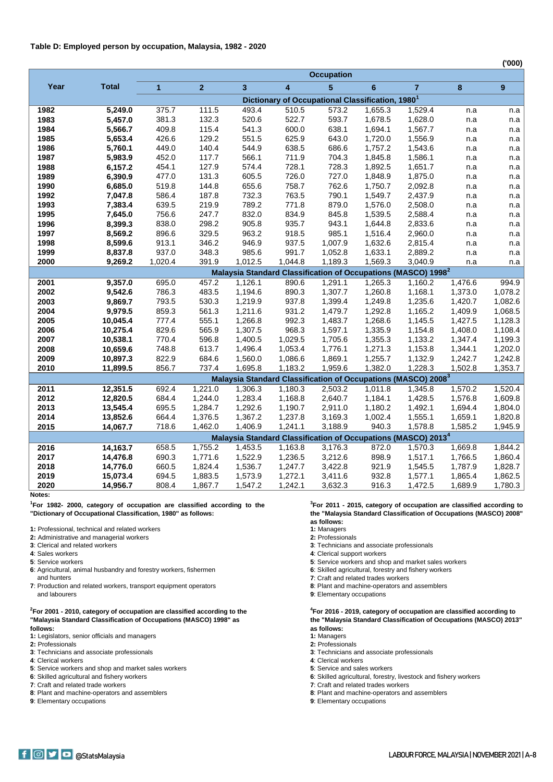|              |                      |                |                |                    |                         |                                                                           |                    |                    |                    | (000)              |
|--------------|----------------------|----------------|----------------|--------------------|-------------------------|---------------------------------------------------------------------------|--------------------|--------------------|--------------------|--------------------|
|              |                      |                |                |                    |                         | <b>Occupation</b>                                                         |                    |                    |                    |                    |
| Year         | <b>Total</b>         | $\overline{1}$ | $\overline{2}$ | 3                  | $\overline{\mathbf{4}}$ | 5                                                                         | $6\phantom{a}$     | $\overline{7}$     | 8                  | 9                  |
|              |                      |                |                |                    |                         | Dictionary of Occupational Classification, 1980 <sup>1</sup>              |                    |                    |                    |                    |
| 1982         | 5,249.0              | 375.7          | 111.5          | 493.4              | 510.5                   | 573.2                                                                     | 1,655.3            | 1,529.4            | n.a                | n.a                |
| 1983         | 5,457.0              | 381.3          | 132.3          | 520.6              | 522.7                   | 593.7                                                                     | 1,678.5            | 1,628.0            | n.a                | n.a                |
| 1984         | 5,566.7              | 409.8          | 115.4          | 541.3              | 600.0                   | 638.1                                                                     | 1,694.1            | 1,567.7            | n.a                | n.a                |
| 1985         | 5,653.4              | 426.6          | 129.2          | 551.5              | 625.9                   | 643.0                                                                     | 1,720.0            | 1,556.9            | n.a                | n.a                |
| 1986         | 5,760.1              | 449.0          | 140.4          | 544.9              | 638.5                   | 686.6                                                                     | 1,757.2            | 1,543.6            | n.a                | n.a                |
| 1987         | 5,983.9              | 452.0          | 117.7          | 566.1              | 711.9                   | 704.3                                                                     | 1,845.8            | 1,586.1            | n.a                | n.a                |
| 1988         | 6,157.2              | 454.1          | 127.9          | 574.4              | 728.1                   | 728.3                                                                     | 1,892.5            | 1,651.7            | n.a                | n.a                |
| 1989         | 6,390.9              | 477.0          | 131.3          | 605.5              | 726.0                   | 727.0                                                                     | 1,848.9            | 1,875.0            | n.a                | n.a                |
| 1990         | 6,685.0              | 519.8          | 144.8          | 655.6              | 758.7                   | 762.6                                                                     | 1,750.7            | 2,092.8            | n.a                | n.a                |
| 1992         | 7,047.8              | 586.4          | 187.8          | 732.3              | 763.5                   | 790.1                                                                     | 1,549.7            | 2,437.9            | n.a                | n.a                |
| 1993         | 7,383.4              | 639.5          | 219.9          | 789.2              | 771.8                   | 879.0                                                                     | 1,576.0            | 2,508.0            | n.a                | n.a                |
| 1995         | 7,645.0              | 756.6          | 247.7          | 832.0              | 834.9                   | 845.8                                                                     | 1,539.5            | 2,588.4            | n.a                | n.a                |
| 1996         | 8,399.3              | 838.0          | 298.2          | 905.8              | 935.7                   | 943.1                                                                     | 1,644.8            | 2,833.6            | n.a                | n.a                |
| 1997         | 8,569.2              | 896.6          | 329.5          | 963.2              | 918.5                   | 985.1                                                                     | 1,516.4            | 2,960.0            | n.a                | n.a                |
| 1998         | 8,599.6              | 913.1          | 346.2          | 946.9              | 937.5                   | 1,007.9                                                                   | 1,632.6            | 2,815.4            | n.a                | n.a                |
| 1999         | 8,837.8              | 937.0          | 348.3          | 985.6              | 991.7                   | 1,052.8                                                                   | 1,633.1            | 2,889.2            | n.a                | n.a                |
| 2000         | 9,269.2              | 1,020.4        | 391.9          | 1,012.5            | 1,044.8                 | 1,189.3                                                                   | 1,569.3            | 3,040.9            | n.a                | n.a                |
|              |                      |                |                |                    |                         | Malaysia Standard Classification of Occupations (MASCO) 1998 <sup>2</sup> |                    |                    |                    |                    |
| 2001         | 9,357.0              | 695.0          | 457.2          | 1,126.1            | 890.6                   | 1,291.1                                                                   | 1,265.3            | 1,160.2            | 1,476.6            | 994.9              |
| 2002         | 9,542.6              | 786.3          | 483.5          | 1,194.6            | 890.3                   | 1,307.7                                                                   | 1,260.8            | 1,168.1            | 1,373.0            | 1,078.2            |
| 2003         | 9,869.7              | 793.5          | 530.3          | 1,219.9            | 937.8                   | 1,399.4                                                                   | 1,249.8            | 1,235.6            | 1,420.7            | 1,082.6            |
| 2004         | 9,979.5              | 859.3<br>777.4 | 561.3<br>555.1 | 1,211.6<br>1,266.8 | 931.2<br>992.3          | 1,479.7<br>1,483.7                                                        | 1,292.8            | 1,165.2<br>1,145.5 | 1,409.9            | 1,068.5<br>1,128.3 |
| 2005<br>2006 | 10,045.4<br>10,275.4 | 829.6          | 565.9          | 1,307.5            | 968.3                   | 1,597.1                                                                   | 1,268.6<br>1,335.9 | 1,154.8            | 1,427.5<br>1,408.0 | 1,108.4            |
| 2007         | 10,538.1             | 770.4          | 596.8          | 1,400.5            | 1,029.5                 | 1,705.6                                                                   | 1,355.3            | 1,133.2            | 1,347.4            | 1,199.3            |
| 2008         | 10,659.6             | 748.8          | 613.7          | 1,496.4            | 1,053.4                 | 1,776.1                                                                   | 1,271.3            | 1,153.8            | 1,344.1            | 1,202.0            |
| 2009         | 10,897.3             | 822.9          | 684.6          | 1,560.0            | 1,086.6                 | 1,869.1                                                                   | 1,255.7            | 1,132.9            | 1,242.7            | 1,242.8            |
| 2010         | 11,899.5             | 856.7          | 737.4          | 1,695.8            | 1,183.2                 | 1,959.6                                                                   | 1,382.0            | 1,228.3            | 1,502.8            | 1,353.7            |
|              |                      |                |                |                    |                         | Malaysia Standard Classification of Occupations (MASCO) 2008 <sup>3</sup> |                    |                    |                    |                    |
| 2011         | 12,351.5             | 692.4          | 1,221.0        | 1,306.3            | 1,180.3                 | 2,503.2                                                                   | 1,011.8            | 1,345.8            | 1,570.2            | 1,520.4            |
| 2012         | 12,820.5             | 684.4          | 1,244.0        | 1,283.4            | 1,168.8                 | 2,640.7                                                                   | 1,184.1            | 1,428.5            | 1,576.8            | 1,609.8            |
| 2013         | 13,545.4             | 695.5          | 1,284.7        | 1,292.6            | 1,190.7                 | 2,911.0                                                                   | 1,180.2            | 1,492.1            | 1,694.4            | 1,804.0            |
| 2014         | 13,852.6             | 664.4          | 1,376.5        | 1,367.2            | 1,237.8                 | 3,169.3                                                                   | 1,002.4            | 1,555.1            | 1,659.1            | 1,820.8            |
| 2015         | 14,067.7             | 718.6          | 1,462.0        | 1,406.9            | 1,241.1                 | 3,188.9                                                                   | 940.3              | 1,578.8            | 1,585.2            | 1,945.9            |
|              |                      |                |                |                    |                         | Malaysia Standard Classification of Occupations (MASCO) 2013 <sup>4</sup> |                    |                    |                    |                    |
| 2016         | 14,163.7             | 658.5          | 1,755.2        | 1,453.5            | 1,163.8                 | 3,176.3                                                                   | 872.0              | 1,570.3            | 1,669.8            | 1,844.2            |
| 2017         | 14,476.8             | 690.3          | 1,771.6        | 1,522.9            | 1,236.5                 | 3,212.6                                                                   | 898.9              | 1,517.1            | 1,766.5            | 1,860.4            |
| 2018         | 14,776.0             | 660.5          | 1,824.4        | 1,536.7            | 1,247.7                 | 3,422.8                                                                   | 921.9              | 1,545.5            | 1,787.9            | 1,828.7            |
| 2019         | 15,073.4             | 694.5          | 1,883.5        | 1,573.9            | 1,272.1                 | 3,411.6                                                                   | 932.8              | 1,577.1            | 1,865.4            | 1,862.5            |
| 2020         | 14,956.7             | 808.4          | 1,867.7        | 1,547.2            | 1,242.1                 | 3,632.3                                                                   | 916.3              | 1,472.5            | 1,689.9            | 1,780.3            |
|              |                      |                |                |                    |                         |                                                                           |                    |                    |                    |                    |

**Notes:**

**1 For 1982- 2000, category of occupation are classified according to the "Dictionary of Occupational Classification, 1980" as follows:**

**1:** Professional, technical and related workers

- **2:** Administrative and managerial workers
- **3**: Clerical and related workers
- **4**: Sales workers
- **5**: Service workers
- **6**: Agricultural, animal husbandry and forestry workers, fishermen and hunters
- and labourers **7**: Production and related workers, transport equipment operators

#### **2 For 2001 - 2010, category of occupation are classified according to the "Malaysia Standard Classification of Occupations (MASCO) 1998" as follows:**

- **1:** Legislators, senior officials and managers
- **2:** Professionals
- **3**: Technicians and associate professionals
- **4**: Clerical workers
- **5**: Service workers and shop and market sales workers
- **6**: Skilled agricultural and fishery workers
- **7**: Craft and related trade workers
- **8**: Plant and machine-operators and assemblers
- **9**: Elementary occupations

#### **3 For 2011 - 2015, category of occupation are classified according to the "Malaysia Standard Classification of Occupations (MASCO) 2008" as follows:**

- **1:** Managers
- **2:** Professionals
- **3**: Technicians and associate professionals
- **4**: Clerical support workers
- **5**: Service workers and shop and market sales workers
- **6**: Skilled agricultural, forestry and fishery workers
- **7**: Craft and related trades workers
- **8**: Plant and machine-operators and assemblers
- **9**: Elementary occupations

#### **4 For 2016 - 2019, category of occupation are classified according to the "Malaysia Standard Classification of Occupations (MASCO) 2013" as follows:**

- **1:** Managers
- **2:** Professionals
- **3**: Technicians and associate professionals
- **4**: Clerical workers
- **5**: Service and sales workers
- **6**: Skilled agricultural, forestry, livestock and fishery workers
- **7**: Craft and related trades workers
- **8**: Plant and machine-operators and assemblers
- **9**: Elementary occupations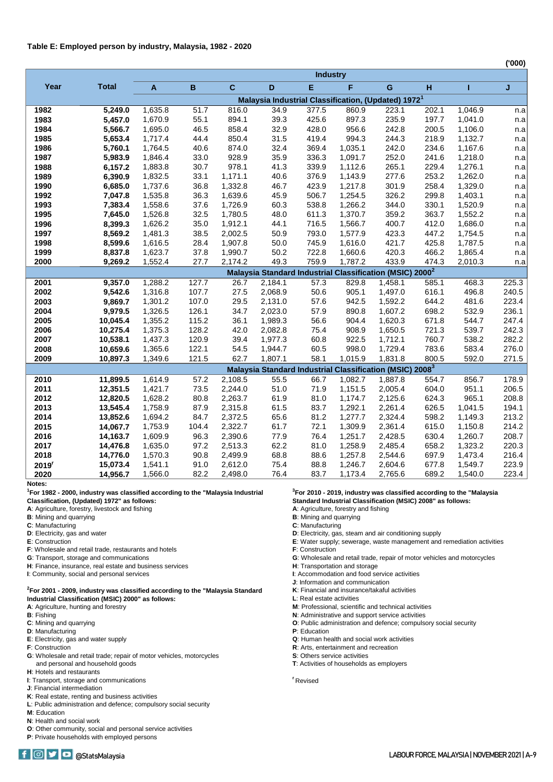|       |              |         |       |              |         |                 |         |                                                                      |       |         | ('000) |
|-------|--------------|---------|-------|--------------|---------|-----------------|---------|----------------------------------------------------------------------|-------|---------|--------|
|       |              |         |       |              |         | <b>Industry</b> |         |                                                                      |       |         |        |
| Year  | <b>Total</b> | A       | B     | $\mathbf{C}$ | D       | E               | F       | G                                                                    | н     |         | J      |
|       |              |         |       |              |         |                 |         | Malaysia Industrial Classification, (Updated) 1972 <sup>1</sup>      |       |         |        |
| 1982  | 5,249.0      | 1,635.8 | 51.7  | 816.0        | 34.9    | 377.5           | 860.9   | 223.1                                                                | 202.1 | 1,046.9 | n.a    |
| 1983  | 5,457.0      | 1,670.9 | 55.1  | 894.1        | 39.3    | 425.6           | 897.3   | 235.9                                                                | 197.7 | 1,041.0 | n.a    |
| 1984  | 5,566.7      | 1,695.0 | 46.5  | 858.4        | 32.9    | 428.0           | 956.6   | 242.8                                                                | 200.5 | 1,106.0 | n.a    |
| 1985  | 5,653.4      | 1,717.4 | 44.4  | 850.4        | 31.5    | 419.4           | 994.3   | 244.3                                                                | 218.9 | 1,132.7 | n.a    |
| 1986  | 5,760.1      | 1,764.5 | 40.6  | 874.0        | 32.4    | 369.4           | 1,035.1 | 242.0                                                                | 234.6 | 1,167.6 | n.a    |
| 1987  | 5,983.9      | 1,846.4 | 33.0  | 928.9        | 35.9    | 336.3           | 1,091.7 | 252.0                                                                | 241.6 | 1,218.0 | n.a    |
| 1988  | 6,157.2      | 1,883.8 | 30.7  | 978.1        | 41.3    | 339.9           | 1,112.6 | 265.1                                                                | 229.4 | 1,276.1 | n.a    |
| 1989  | 6,390.9      | 1,832.5 | 33.1  | 1,171.1      | 40.6    | 376.9           | 1,143.9 | 277.6                                                                | 253.2 | 1,262.0 | n.a    |
| 1990  | 6,685.0      | 1,737.6 | 36.8  | 1,332.8      | 46.7    | 423.9           | 1,217.8 | 301.9                                                                | 258.4 | 1,329.0 | n.a    |
| 1992  | 7,047.8      | 1,535.8 | 36.3  | 1,639.6      | 45.9    | 506.7           | 1,254.5 | 326.2                                                                | 299.8 | 1,403.1 | n.a    |
| 1993  | 7,383.4      | 1,558.6 | 37.6  | 1,726.9      | 60.3    | 538.8           | 1,266.2 | 344.0                                                                | 330.1 | 1,520.9 | n.a    |
| 1995  | 7,645.0      | 1,526.8 | 32.5  | 1,780.5      | 48.0    | 611.3           | 1,370.7 | 359.2                                                                | 363.7 | 1,552.2 | n.a    |
| 1996  | 8,399.3      | 1,626.2 | 35.0  | 1,912.1      | 44.1    | 716.5           | 1,566.7 | 400.7                                                                | 412.0 | 1,686.0 | n.a    |
| 1997  | 8,569.2      | 1,481.3 | 38.5  | 2,002.5      | 50.9    | 793.0           | 1,577.9 | 423.3                                                                | 447.2 | 1,754.5 | n.a    |
| 1998  | 8,599.6      | 1,616.5 | 28.4  | 1,907.8      | 50.0    | 745.9           | 1,616.0 | 421.7                                                                | 425.8 | 1,787.5 | n.a    |
| 1999  | 8,837.8      | 1,623.7 | 37.8  | 1,990.7      | 50.2    | 722.8           | 1,660.6 | 420.3                                                                | 466.2 | 1,865.4 | n.a    |
| 2000  | 9,269.2      | 1,552.4 | 27.7  | 2,174.2      | 49.3    | 759.9           | 1,787.2 | 433.9                                                                | 474.3 | 2,010.3 | n.a    |
|       |              |         |       |              |         |                 |         | Malaysia Standard Industrial Classification (MSIC) 2000 <sup>2</sup> |       |         |        |
| 2001  | 9,357.0      | 1,288.2 | 127.7 | 26.7         | 2,184.1 | 57.3            | 829.8   | 1,458.1                                                              | 585.1 | 468.3   | 225.3  |
| 2002  | 9,542.6      | 1,316.8 | 107.7 | 27.5         | 2,068.9 | 50.6            | 905.1   | 1,497.0                                                              | 616.1 | 496.8   | 240.5  |
| 2003  | 9,869.7      | 1,301.2 | 107.0 | 29.5         | 2,131.0 | 57.6            | 942.5   | 1,592.2                                                              | 644.2 | 481.6   | 223.4  |
| 2004  | 9,979.5      | 1,326.5 | 126.1 | 34.7         | 2,023.0 | 57.9            | 890.8   | 1,607.2                                                              | 698.2 | 532.9   | 236.1  |
| 2005  | 10,045.4     | 1,355.2 | 115.2 | 36.1         | 1,989.3 | 56.6            | 904.4   | 1,620.3                                                              | 671.8 | 544.7   | 247.4  |
| 2006  | 10,275.4     | 1,375.3 | 128.2 | 42.0         | 2,082.8 | 75.4            | 908.9   | 1,650.5                                                              | 721.3 | 539.7   | 242.3  |
| 2007  | 10,538.1     | 1,437.3 | 120.9 | 39.4         | 1,977.3 | 60.8            | 922.5   | 1,712.1                                                              | 760.7 | 538.2   | 282.2  |
| 2008  | 10,659.6     | 1,365.6 | 122.1 | 54.5         | 1,944.7 | 60.5            | 998.0   | 1,729.4                                                              | 783.6 | 583.4   | 276.0  |
| 2009  | 10,897.3     | 1,349.6 | 121.5 | 62.7         | 1,807.1 | 58.1            | 1,015.9 | 1,831.8                                                              | 800.5 | 592.0   | 271.5  |
|       |              |         |       |              |         |                 |         | Malaysia Standard Industrial Classification (MSIC) 2008 <sup>3</sup> |       |         |        |
| 2010  | 11,899.5     | 1,614.9 | 57.2  | 2,108.5      | 55.5    | 66.7            | 1.082.7 | 1,887.8                                                              | 554.7 | 856.7   | 178.9  |
| 2011  | 12,351.5     | 1,421.7 | 73.5  | 2,244.0      | 51.0    | 71.9            | 1,151.5 | 2,005.4                                                              | 604.0 | 951.1   | 206.5  |
| 2012  | 12,820.5     | 1,628.2 | 80.8  | 2,263.7      | 61.9    | 81.0            | 1,174.7 | 2,125.6                                                              | 624.3 | 965.1   | 208.8  |
| 2013  | 13,545.4     | 1,758.9 | 87.9  | 2,315.8      | 61.5    | 83.7            | 1,292.1 | 2,261.4                                                              | 626.5 | 1,041.5 | 194.1  |
| 2014  | 13,852.6     | 1,694.2 | 84.7  | 2,372.5      | 65.6    | 81.2            | 1,277.7 | 2,324.4                                                              | 598.2 | 1,149.3 | 213.2  |
| 2015  | 14,067.7     | 1,753.9 | 104.4 | 2,322.7      | 61.7    | 72.1            | 1,309.9 | 2,361.4                                                              | 615.0 | 1,150.8 | 214.2  |
| 2016  | 14,163.7     | 1,609.9 | 96.3  | 2,390.6      | 77.9    | 76.4            | 1,251.7 | 2,428.5                                                              | 630.4 | 1,260.7 | 208.7  |
| 2017  | 14,476.8     | 1,635.0 | 97.2  | 2,513.3      | 62.2    | 81.0            | 1,258.9 | 2,485.4                                                              | 658.2 | 1,323.2 | 220.3  |
| 2018  | 14,776.0     | 1,570.3 | 90.8  | 2,499.9      | 68.8    | 88.6            | 1,257.8 | 2,544.6                                                              | 697.9 | 1,473.4 | 216.4  |
| 2019' | 15,073.4     | 1,541.1 | 91.0  | 2,612.0      | 75.4    | 88.8            | 1,246.7 | 2,604.6                                                              | 677.8 | 1,549.7 | 223.9  |
| 2020  | 14,956.7     | 1,566.0 | 82.2  | 2,498.0      | 76.4    | 83.7            | 1,173.4 | 2,765.6                                                              | 689.2 | 1,540.0 | 223.4  |

**Notes:**

- **C**: Manufacturing **C**: Manufacturing
- 
- 
- **F**: Wholesale and retail trade, restaurants and hotels
- 
- 
- **I**: Community, social and personal services

#### **2 For 2001 - 2009, industry was classified according to the "Malaysia Standard Industrial Classification (MSIC) 2000" as follows:**

- 
- 
- 
- **D**: Manufacturing
- 
- 
- **F**: Construction **R**: Arts, entertainment and recreation **G**: Wholesale and recreation **G**: Wholesale and retail trade: repair of motor vehicles motorcycles **S**: Others service activities **G**: Wholesale and retail trade; repair of motor vehicles, motorcycles and personal and household goods **T**: Activities of households as employers
- **H**: Hotels and restaurants
- **I**: Transport, storage and communications **rate in the control of the control of the control of Revised**
- **J**: Financial intermediation
- **K**: Real estate, renting and business activities
- **L**: Public administration and defence; compulsory social security
- **M**: Education
- **N**: Health and social work
- **O**: Other community, social and personal service activities
- **P**: Private households with employed persons

#### **3 For 2010 - 2019, industry was classified according to the "Malaysia Standard Industrial Classification (MSIC) 2008" as follows:**

- 
- 
- 
- **D**: Electricity, gas and water **D**: Electricity, gas, steam and air conditioning supply<br> **E**: Construction **E**: Construction
	- **E**: Water supply; sewerage, waste management and remediation activities **F**: Construction
- **G**: Transport, storage and communications **G**: Wholesale and retail trade, repair of motor vehicles and motorcycles<br> **H**: Transportation and storage insurance, real estate and business services **HECO H**: Transportation
	-
- **H**: Finance, insurance, real estate and business services **H**: Transportation and storage **H**: Community, social and personal services **H R**: Community, social and personal services
	- **J**: Information and communication
	- **K**: Financial and insurance/takaful activities
	- **L**: Real estate activities
- **A**: Agriculture, hunting and forestry **M**: Professional, scientific and technical activities<br> **A**: Fishing **M**: Administrative and support service activities
- **B**: Fishing **N**: Administrative and support service activities **C**: Ministrative and support service activities **C**: Mining and quarrying **C**: Mining and quarrying
	- **C**: Public administration and defence; compulsory social security **P**: Education
	-
- **E**: Electricity, gas and water supply **Q**: Human health and social work activities
	-
	-
	-



**<sup>1</sup> For 1982 - 2000, industry was classified according to the "Malaysia Industrial Classification, (Updated) 1972" as follows:**

**A**: Agriculture, forestry, livestock and fishing **A**: Agriculture, forestry and fishing **B**: Mining and quarrying **B**: Mining and quarrying

**B**: Mining and quarrying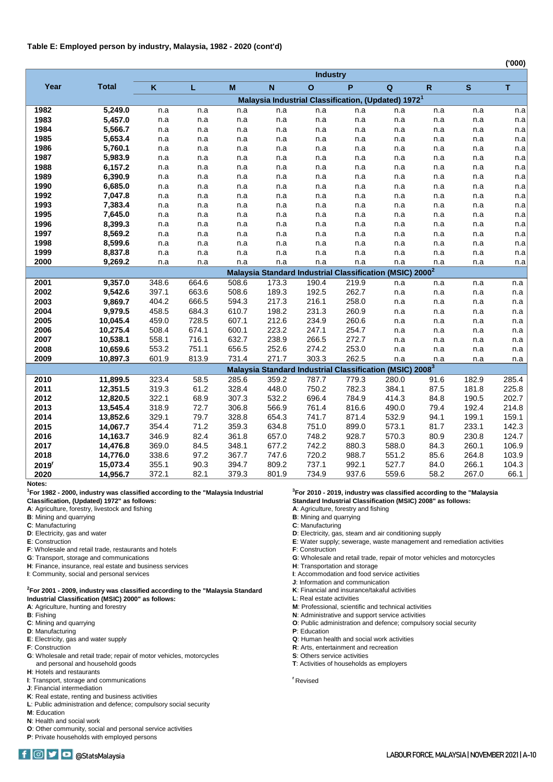|                   |                      |                |              |                |                | <b>Industry</b> |                                                                      |                    |              |                | ι υυυ)         |
|-------------------|----------------------|----------------|--------------|----------------|----------------|-----------------|----------------------------------------------------------------------|--------------------|--------------|----------------|----------------|
| Year              | <b>Total</b>         | $\sf K$        | L            | M              | ${\bf N}$      | $\mathbf{o}$    | P                                                                    | $\pmb{\mathsf{Q}}$ | $\mathbf R$  | S              | T.             |
|                   |                      |                |              |                |                |                 | Malaysia Industrial Classification, (Updated) 1972 <sup>1</sup>      |                    |              |                |                |
| 1982              | 5,249.0              | n.a            | n.a          | n.a            | n.a            | n.a             | n.a                                                                  | n.a                | n.a          | n.a            | n.a            |
| 1983              | 5,457.0              | n.a            | n.a          | n.a            | n.a            | n.a             | n.a                                                                  | n.a                | n.a          | n.a            | n.a            |
| 1984              | 5,566.7              | n.a            | n.a          | n.a            | n.a            | n.a             | n.a                                                                  | n.a                | n.a          | n.a            | n.a            |
| 1985              | 5,653.4              | n.a            | n.a          | n.a            | n.a            | n.a             | n.a                                                                  | n.a                | n.a          | n.a            | n.a            |
| 1986              | 5,760.1              | n.a            | n.a          | n.a            | n.a            | n.a             | n.a                                                                  | n.a                | n.a          | n.a            | n.a            |
| 1987              | 5,983.9              | n.a            | n.a          | n.a            | n.a            | n.a             | n.a                                                                  | n.a                | n.a          | n.a            | n.a            |
| 1988              | 6,157.2              | n.a            | n.a          | n.a            | n.a            | n.a             | n.a                                                                  | n.a                | n.a          | n.a            | n.a            |
| 1989              | 6,390.9              | n.a            | n.a          | n.a            | n.a            | n.a             | n.a                                                                  | n.a                | n.a          | n.a            | n.a            |
| 1990              | 6,685.0              | n.a            | n.a          | n.a            | n.a            | n.a             | n.a                                                                  | n.a                | n.a          | n.a            | n.a            |
| 1992              | 7,047.8              | n.a            | n.a          | n.a            | n.a            | n.a             | n.a                                                                  | n.a                | n.a          | n.a            | n.a            |
| 1993              | 7,383.4              | n.a            | n.a          | n.a            | n.a            | n.a             | n.a                                                                  | n.a                | n.a          | n.a            | n.a            |
| 1995              | 7,645.0              | n.a            | n.a          | n.a            | n.a            | n.a             | n.a                                                                  | n.a                | n.a          | n.a            | n.a            |
| 1996              | 8,399.3              | n.a            | n.a          | n.a            | n.a            | n.a             | n.a                                                                  | n.a                | n.a          | n.a            | n.a            |
| 1997              | 8,569.2              | n.a            | n.a          | n.a            | n.a            | n.a             | n.a                                                                  | n.a                | n.a          | n.a            | n.a            |
| 1998              | 8,599.6              | n.a            | n.a          | n.a            | n.a            | n.a             | n.a                                                                  | n.a                | n.a          | n.a            | n.a            |
| 1999              | 8,837.8              | n.a            | n.a          | n.a            | n.a            | n.a             | n.a                                                                  | n.a                | n.a          | n.a            | n.a            |
| 2000              | 9,269.2              | n.a            | n.a          | n.a            | n.a            | n.a             | n.a                                                                  | n.a                | n.a          | n.a            | n.a            |
|                   |                      |                |              |                |                |                 | Malaysia Standard Industrial Classification (MSIC) 2000 <sup>2</sup> |                    |              |                |                |
| 2001              | 9,357.0              | 348.6          | 664.6        | 508.6          | 173.3          | 190.4           | 219.9                                                                | n.a                | n.a          | n.a            | n.a            |
| 2002              | 9,542.6              | 397.1          | 663.6        | 508.6          | 189.3          | 192.5           | 262.7                                                                | n.a                | n.a          | n.a            | n.a            |
| 2003              | 9,869.7              | 404.2          | 666.5        | 594.3          | 217.3          | 216.1           | 258.0                                                                | n.a                | n.a          | n.a            | n.a            |
| 2004              | 9,979.5              | 458.5          | 684.3        | 610.7          | 198.2          | 231.3           | 260.9                                                                | n.a                | n.a          | n.a            | n.a            |
| 2005              | 10,045.4             | 459.0          | 728.5        | 607.1          | 212.6          | 234.9           | 260.6                                                                | n.a                | n.a          | n.a            | n.a            |
| 2006              | 10,275.4             | 508.4          | 674.1        | 600.1          | 223.2          | 247.1           | 254.7                                                                | n.a                | n.a          | n.a            | n.a            |
| 2007              | 10,538.1             | 558.1          | 716.1        | 632.7          | 238.9          | 266.5           | 272.7                                                                | n.a                | n.a          | n.a            | n.a            |
| 2008              | 10,659.6             | 553.2          | 751.1        | 656.5          | 252.6          | 274.2           | 253.0                                                                | n.a                | n.a          | n.a            | n.a            |
| 2009              | 10,897.3             | 601.9          | 813.9        | 731.4          | 271.7          | 303.3           | 262.5                                                                | n.a                | n.a          | n.a            | n.a            |
|                   |                      |                |              |                |                |                 | Malaysia Standard Industrial Classification (MSIC) 2008 <sup>3</sup> |                    |              |                |                |
| 2010              | 11,899.5             | 323.4          | 58.5         | 285.6          | 359.2          | 787.7<br>750.2  | 779.3<br>782.3                                                       | 280.0              | 91.6         | 182.9          | 285.4          |
| 2011              | 12,351.5             | 319.3<br>322.1 | 61.2<br>68.9 | 328.4<br>307.3 | 448.0<br>532.2 | 696.4           | 784.9                                                                | 384.1<br>414.3     | 87.5<br>84.8 | 181.8<br>190.5 | 225.8<br>202.7 |
| 2012<br>2013      | 12,820.5<br>13,545.4 | 318.9          | 72.7         | 306.8          | 566.9          | 761.4           | 816.6                                                                | 490.0              | 79.4         | 192.4          | 214.8          |
| 2014              | 13,852.6             | 329.1          | 79.7         | 328.8          | 654.3          | 741.7           | 871.4                                                                | 532.9              | 94.1         | 199.1          | 159.1          |
| 2015              | 14,067.7             | 354.4          | 71.2         | 359.3          | 634.8          | 751.0           | 899.0                                                                | 573.1              | 81.7         | 233.1          | 142.3          |
| 2016              | 14,163.7             | 346.9          | 82.4         | 361.8          | 657.0          | 748.2           | 928.7                                                                | 570.3              | 80.9         | 230.8          | 124.7          |
| 2017              | 14,476.8             | 369.0          | 84.5         | 348.1          | 677.2          | 742.2           | 880.3                                                                | 588.0              | 84.3         | 260.1          | 106.9          |
| 2018              | 14,776.0             | 338.6          | 97.2         | 367.7          | 747.6          | 720.2           | 988.7                                                                | 551.2              | 85.6         | 264.8          | 103.9          |
| 2019 <sup>r</sup> | 15,073.4             | 355.1          | 90.3         | 394.7          | 809.2          | 737.1           | 992.1                                                                | 527.7              | 84.0         | 266.1          | 104.3          |
| 2020              | 14,956.7             | 372.1          | 82.1         | 379.3          | 801.9          | 734.9           | 937.6                                                                | 559.6              | 58.2         | 267.0          | 66.1           |
|                   |                      |                |              |                |                |                 |                                                                      |                    |              |                |                |

**Notes:**

- 
- 
- 
- 
- **F**: Wholesale and retail trade, restaurants and hotels **F**: Construction
- 
- **H**: Finance, insurance, real estate and business services **Hence and Stephanisms H**: Transportation and storage in the storage of the storage of the storage of the storage of the storage of the storage of the storage of
- **I**: Community, social and personal services

#### **2 For 2001 - 2009, industry was classified according to the "Malaysia Standard Industrial Classification (MSIC) 2000" as follows:**

- 
- 
- 
- **D**: Manufacturing
- 
- 
- **F**: Construction **R**: Arts, entertainment and recreation **G**: Wholesale and recreation **G**: Wholesale and retail trade: repair of motor vehicles motorcycles **S**: Others service activities **G**: Wholesale and retail trade; repair of motor vehicles, motorcycles and personal and household goods **T**: Activities of households as employers
- **H**: Hotels and restaurants
- **I**: Transport, storage and communications **rate in the control of the control of the control of Revised**
- **J**: Financial intermediation
- **K**: Real estate, renting and business activities
- **L**: Public administration and defence; compulsory social security
- **M**: Education
- **N**: Health and social work
- **O**: Other community, social and personal service activities
- **P**: Private households with employed persons

#### **3 For 2010 - 2019, industry was classified according to the "Malaysia Standard Industrial Classification (MSIC) 2008" as follows:**

- 
- 
- **C**: Manufacturing **C**: Manufacturing
- **D**: Electricity, gas and water **D**: Electricity, gas, steam and air conditioning supply<br> **E**: Construction **E**: Construction
	- **E**: Water supply; sewerage, waste management and remediation activities
	-
- **G**: Transport, storage and communications **G**: Wholesale and retail trade, repair of motor vehicles and motorcycles<br> **H**: Transportation and storage insurance, real estate and business services **HECO H**: Transportation
	-
	-
	- **J**: Information and communication
	- **K**: Financial and insurance/takaful activities
	- **L**: Real estate activities
- **A**: Agriculture, hunting and forestry **M**: Professional, scientific and technical activities<br> **A**: Fishing **M**: Administrative and support service activities
- **B**: Fishing **N**: Administrative and support service activities **C**: Ministrative and support service activities **C**: Mining and quarrying **C**: Mining and quarrying
	- **C**: Public administration and defence; compulsory social security **P**: Education
	-
- **E**: Electricity, gas and water supply **Q**: Human health and social work activities
	-
	-
	-

**('000)**



**<sup>1</sup> For 1982 - 2000, industry was classified according to the "Malaysia Industrial Classification, (Updated) 1972" as follows:**

**A**: Agriculture, forestry, livestock and fishing **A**: Agriculture, forestry and fishing **B**: Mining and quarrying **B**: Mining and quarrying

**B**: Mining and quarrying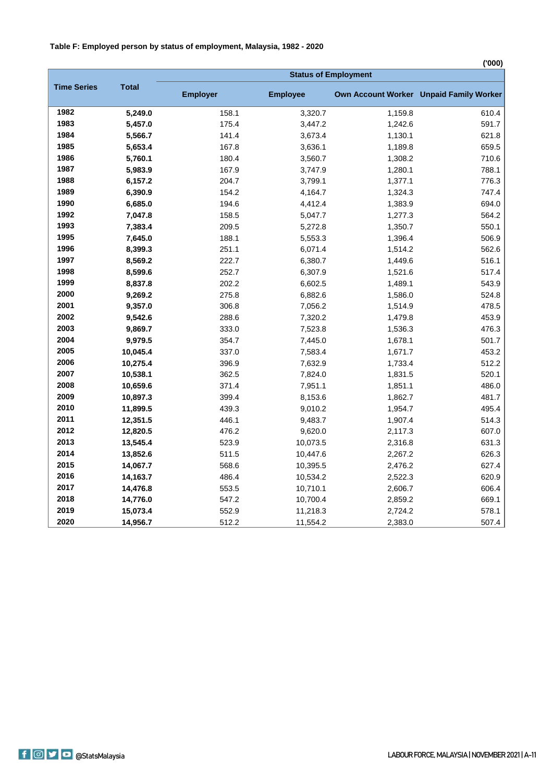#### **Table F: Employed person by status of employment, Malaysia, 1982 - 2020**

|                    |              | (000)                       |                 |         |                                         |  |  |  |  |  |  |
|--------------------|--------------|-----------------------------|-----------------|---------|-----------------------------------------|--|--|--|--|--|--|
|                    |              | <b>Status of Employment</b> |                 |         |                                         |  |  |  |  |  |  |
| <b>Time Series</b> | <b>Total</b> | <b>Employer</b>             | <b>Employee</b> |         | Own Account Worker Unpaid Family Worker |  |  |  |  |  |  |
| 1982               | 5,249.0      | 158.1                       | 3,320.7         | 1,159.8 | 610.4                                   |  |  |  |  |  |  |
| 1983               | 5,457.0      | 175.4                       | 3,447.2         | 1,242.6 | 591.7                                   |  |  |  |  |  |  |
| 1984               | 5,566.7      | 141.4                       | 3,673.4         | 1,130.1 | 621.8                                   |  |  |  |  |  |  |
| 1985               | 5,653.4      | 167.8                       | 3,636.1         | 1,189.8 | 659.5                                   |  |  |  |  |  |  |
| 1986               | 5,760.1      | 180.4                       | 3,560.7         | 1,308.2 | 710.6                                   |  |  |  |  |  |  |
| 1987               | 5,983.9      | 167.9                       | 3,747.9         | 1,280.1 | 788.1                                   |  |  |  |  |  |  |
| 1988               | 6,157.2      | 204.7                       | 3,799.1         | 1,377.1 | 776.3                                   |  |  |  |  |  |  |
| 1989               | 6,390.9      | 154.2                       | 4,164.7         | 1,324.3 | 747.4                                   |  |  |  |  |  |  |
| 1990               | 6,685.0      | 194.6                       | 4,412.4         | 1,383.9 | 694.0                                   |  |  |  |  |  |  |
| 1992               | 7,047.8      | 158.5                       | 5,047.7         | 1,277.3 | 564.2                                   |  |  |  |  |  |  |
| 1993               | 7,383.4      | 209.5                       | 5,272.8         | 1,350.7 | 550.1                                   |  |  |  |  |  |  |
| 1995               | 7,645.0      | 188.1                       | 5,553.3         | 1,396.4 | 506.9                                   |  |  |  |  |  |  |
| 1996               | 8,399.3      | 251.1                       | 6,071.4         | 1,514.2 | 562.6                                   |  |  |  |  |  |  |
| 1997               | 8,569.2      | 222.7                       | 6,380.7         | 1,449.6 | 516.1                                   |  |  |  |  |  |  |
| 1998               | 8,599.6      | 252.7                       | 6,307.9         | 1,521.6 | 517.4                                   |  |  |  |  |  |  |
| 1999               | 8,837.8      | 202.2                       | 6,602.5         | 1,489.1 | 543.9                                   |  |  |  |  |  |  |
| 2000               | 9,269.2      | 275.8                       | 6,882.6         | 1,586.0 | 524.8                                   |  |  |  |  |  |  |
| 2001               | 9,357.0      | 306.8                       | 7,056.2         | 1,514.9 | 478.5                                   |  |  |  |  |  |  |
| 2002               | 9,542.6      | 288.6                       | 7,320.2         | 1,479.8 | 453.9                                   |  |  |  |  |  |  |
| 2003               | 9,869.7      | 333.0                       | 7,523.8         | 1,536.3 | 476.3                                   |  |  |  |  |  |  |
| 2004               | 9,979.5      | 354.7                       | 7,445.0         | 1,678.1 | 501.7                                   |  |  |  |  |  |  |
| 2005               | 10,045.4     | 337.0                       | 7,583.4         | 1,671.7 | 453.2                                   |  |  |  |  |  |  |
| 2006               | 10,275.4     | 396.9                       | 7,632.9         | 1,733.4 | 512.2                                   |  |  |  |  |  |  |
| 2007               | 10,538.1     | 362.5                       | 7,824.0         | 1,831.5 | 520.1                                   |  |  |  |  |  |  |
| 2008               | 10,659.6     | 371.4                       | 7,951.1         | 1,851.1 | 486.0                                   |  |  |  |  |  |  |
| 2009               | 10,897.3     | 399.4                       | 8,153.6         | 1,862.7 | 481.7                                   |  |  |  |  |  |  |
| 2010               | 11,899.5     | 439.3                       | 9,010.2         | 1,954.7 | 495.4                                   |  |  |  |  |  |  |
| 2011               | 12,351.5     | 446.1                       | 9,483.7         | 1,907.4 | 514.3                                   |  |  |  |  |  |  |
| 2012               | 12,820.5     | 476.2                       | 9,620.0         | 2,117.3 | 607.0                                   |  |  |  |  |  |  |
| 2013               | 13,545.4     | 523.9                       | 10,073.5        | 2,316.8 | 631.3                                   |  |  |  |  |  |  |
| 2014               | 13,852.6     | 511.5                       | 10,447.6        | 2,267.2 | 626.3                                   |  |  |  |  |  |  |
| 2015               | 14,067.7     | 568.6                       | 10,395.5        | 2,476.2 | 627.4                                   |  |  |  |  |  |  |
| 2016               | 14,163.7     | 486.4                       | 10,534.2        | 2,522.3 | 620.9                                   |  |  |  |  |  |  |
| 2017               | 14,476.8     | 553.5                       | 10,710.1        | 2,606.7 | 606.4                                   |  |  |  |  |  |  |
| 2018               | 14,776.0     | 547.2                       | 10,700.4        | 2,859.2 | 669.1                                   |  |  |  |  |  |  |
| 2019               | 15,073.4     | 552.9                       | 11,218.3        | 2,724.2 | 578.1                                   |  |  |  |  |  |  |
| 2020               | 14,956.7     | 512.2                       | 11,554.2        | 2,383.0 | 507.4                                   |  |  |  |  |  |  |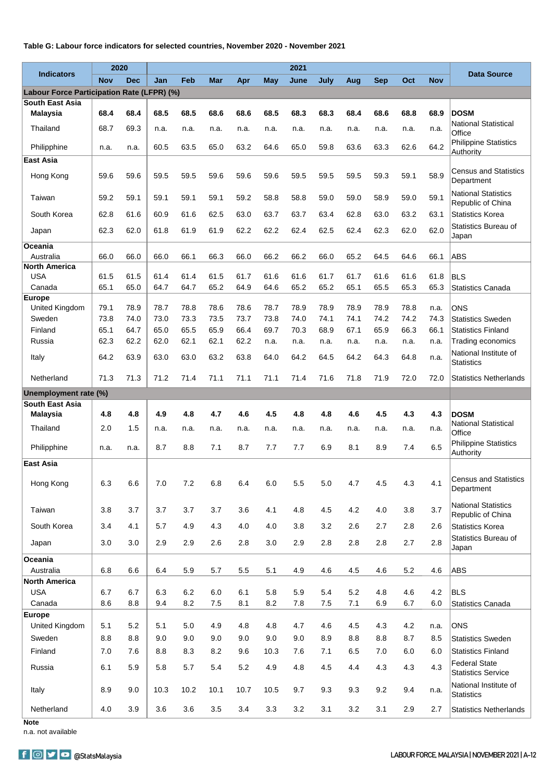#### **Table G: Labour force indicators for selected countries, November 2020 - November 2021**

| <b>Indicators</b>                          | 2020       |            |      |      |            |      |      | 2021 |      |      |            |      |      |                                                   |
|--------------------------------------------|------------|------------|------|------|------------|------|------|------|------|------|------------|------|------|---------------------------------------------------|
|                                            | <b>Nov</b> | <b>Dec</b> | Jan  | Feb  | <b>Mar</b> | Apr  | May  | June | July | Aug  | <b>Sep</b> | Oct  | Nov  | <b>Data Source</b>                                |
| Labour Force Participation Rate (LFPR) (%) |            |            |      |      |            |      |      |      |      |      |            |      |      |                                                   |
| <b>South East Asia</b>                     |            |            |      |      |            |      |      |      |      |      |            |      |      |                                                   |
| <b>Malaysia</b>                            | 68.4       | 68.4       | 68.5 | 68.5 | 68.6       | 68.6 | 68.5 | 68.3 | 68.3 | 68.4 | 68.6       | 68.8 | 68.9 | <b>DOSM</b>                                       |
| Thailand                                   | 68.7       | 69.3       | n.a. | n.a. | n.a.       | n.a. | n.a. | n.a. | n.a. | n.a. | n.a.       | n.a. | n.a. | <b>National Statistical</b><br>Office             |
| Philipphine                                | n.a.       | n.a.       | 60.5 | 63.5 | 65.0       | 63.2 | 64.6 | 65.0 | 59.8 | 63.6 | 63.3       | 62.6 | 64.2 | <b>Philippine Statistics</b><br>Authority         |
| <b>East Asia</b>                           |            |            |      |      |            |      |      |      |      |      |            |      |      |                                                   |
| Hong Kong                                  | 59.6       | 59.6       | 59.5 | 59.5 | 59.6       | 59.6 | 59.6 | 59.5 | 59.5 | 59.5 | 59.3       | 59.1 | 58.9 | <b>Census and Statistics</b><br>Department        |
| Taiwan                                     | 59.2       | 59.1       | 59.1 | 59.1 | 59.1       | 59.2 | 58.8 | 58.8 | 59.0 | 59.0 | 58.9       | 59.0 | 59.1 | <b>National Statistics</b><br>Republic of China   |
| South Korea                                | 62.8       | 61.6       | 60.9 | 61.6 | 62.5       | 63.0 | 63.7 | 63.7 | 63.4 | 62.8 | 63.0       | 63.2 | 63.1 | Statistics Korea                                  |
| Japan                                      | 62.3       | 62.0       | 61.8 | 61.9 | 61.9       | 62.2 | 62.2 | 62.4 | 62.5 | 62.4 | 62.3       | 62.0 | 62.0 | Statistics Bureau of<br>Japan                     |
| Oceania                                    |            |            |      |      |            |      |      |      |      |      |            |      |      |                                                   |
| Australia                                  | 66.0       | 66.0       | 66.0 | 66.1 | 66.3       | 66.0 | 66.2 | 66.2 | 66.0 | 65.2 | 64.5       | 64.6 | 66.1 | <b>ABS</b>                                        |
| <b>North America</b><br><b>USA</b>         | 61.5       | 61.5       | 61.4 | 61.4 | 61.5       | 61.7 | 61.6 | 61.6 | 61.7 | 61.7 | 61.6       | 61.6 | 61.8 | <b>BLS</b>                                        |
| Canada                                     | 65.1       | 65.0       | 64.7 | 64.7 | 65.2       | 64.9 | 64.6 | 65.2 | 65.2 | 65.1 | 65.5       | 65.3 | 65.3 | <b>Statistics Canada</b>                          |
| Europe                                     |            |            |      |      |            |      |      |      |      |      |            |      |      |                                                   |
| United Kingdom                             | 79.1       | 78.9       | 78.7 | 78.8 | 78.6       | 78.6 | 78.7 | 78.9 | 78.9 | 78.9 | 78.9       | 78.8 | n.a. | <b>ONS</b>                                        |
| Sweden                                     | 73.8       | 74.0       | 73.0 | 73.3 | 73.5       | 73.7 | 73.8 | 74.0 | 74.1 | 74.1 | 74.2       | 74.2 | 74.3 | <b>Statistics Sweden</b>                          |
| Finland                                    | 65.1       | 64.7       | 65.0 | 65.5 | 65.9       | 66.4 | 69.7 | 70.3 | 68.9 | 67.1 | 65.9       | 66.3 | 66.1 | <b>Statistics Finland</b>                         |
| Russia                                     | 62.3       | 62.2       | 62.0 | 62.1 | 62.1       | 62.2 | n.a. | n.a. | n.a. | n.a. | n.a.       | n.a. | n.a. | Trading economics                                 |
| Italy                                      | 64.2       | 63.9       | 63.0 | 63.0 | 63.2       | 63.8 | 64.0 | 64.2 | 64.5 | 64.2 | 64.3       | 64.8 | n.a. | National Institute of<br><b>Statistics</b>        |
| Netherland                                 | 71.3       | 71.3       | 71.2 | 71.4 | 71.1       | 71.1 | 71.1 | 71.4 | 71.6 | 71.8 | 71.9       | 72.0 | 72.0 | <b>Statistics Netherlands</b>                     |
| Unemployment rate (%)                      |            |            |      |      |            |      |      |      |      |      |            |      |      |                                                   |
| <b>South East Asia</b>                     |            |            |      |      |            |      |      |      |      |      |            |      |      |                                                   |
| <b>Malaysia</b>                            | 4.8        | 4.8        | 4.9  | 4.8  | 4.7        | 4.6  | 4.5  | 4.8  | 4.8  | 4.6  | 4.5        | 4.3  | 4.3  | <b>DOSM</b>                                       |
| Thailand                                   | 2.0        | 1.5        | n.a. | n.a. | n.a.       | n.a. | n.a. | n.a. | n.a. | n.a. | n.a.       | n.a. | n.a. | <b>National Statistical</b><br>Office             |
| Philipphine                                | n.a.       | n.a.       | 8.7  | 8.8  | 7.1        | 8.7  | 7.7  | 7.7  | 6.9  | 8.1  | 8.9        | 7.4  | 6.5  | <b>Philippine Statistics</b><br>Authority         |
| <b>East Asia</b>                           |            |            |      |      |            |      |      |      |      |      |            |      |      |                                                   |
| Hong Kong                                  | 6.3        | 6.6        | 7.0  | 7.2  | 6.8        | 6.4  | 6.0  | 5.5  | 5.0  | 4.7  | 4.5        | 4.3  | 4.1  | <b>Census and Statistics</b><br>Department        |
| Taiwan                                     | 3.8        | 3.7        | 3.7  | 3.7  | 3.7        | 3.6  | 4.1  | 4.8  | 4.5  | 4.2  | 4.0        | 3.8  | 3.7  | <b>National Statistics</b><br>Republic of China   |
| South Korea                                | 3.4        | 4.1        | 5.7  | 4.9  | 4.3        | 4.0  | 4.0  | 3.8  | 3.2  | 2.6  | 2.7        | 2.8  | 2.6  | <b>Statistics Korea</b>                           |
| Japan                                      | 3.0        | 3.0        | 2.9  | 2.9  | 2.6        | 2.8  | 3.0  | 2.9  | 2.8  | 2.8  | 2.8        | 2.7  | 2.8  | Statistics Bureau of<br>Japan                     |
| Oceania                                    |            |            |      |      |            |      |      |      |      |      |            |      |      |                                                   |
| Australia                                  | 6.8        | 6.6        | 6.4  | 5.9  | 5.7        | 5.5  | 5.1  | 4.9  | 4.6  | 4.5  | 4.6        | 5.2  | 4.6  | <b>ABS</b>                                        |
| <b>North America</b>                       |            |            |      |      |            |      |      |      |      |      |            |      |      |                                                   |
| <b>USA</b>                                 | 6.7        | 6.7        | 6.3  | 6.2  | 6.0        | 6.1  | 5.8  | 5.9  | 5.4  | 5.2  | 4.8        | 4.6  | 4.2  | <b>BLS</b>                                        |
| Canada                                     | 8.6        | 8.8        | 9.4  | 8.2  | 7.5        | 8.1  | 8.2  | 7.8  | 7.5  | 7.1  | 6.9        | 6.7  | 6.0  | <b>Statistics Canada</b>                          |
| <b>Europe</b>                              |            |            |      |      |            |      |      |      |      |      |            |      |      |                                                   |
| United Kingdom                             | 5.1        | 5.2        | 5.1  | 5.0  | 4.9        | 4.8  | 4.8  | 4.7  | 4.6  | 4.5  | 4.3        | 4.2  | n.a. | <b>ONS</b>                                        |
| Sweden                                     | 8.8        | 8.8        | 9.0  | 9.0  | 9.0        | 9.0  | 9.0  | 9.0  | 8.9  | 8.8  | 8.8        | 8.7  | 8.5  | <b>Statistics Sweden</b>                          |
| Finland                                    | 7.0        | 7.6        | 8.8  | 8.3  | 8.2        | 9.6  | 10.3 | 7.6  | 7.1  | 6.5  | 7.0        | 6.0  | 6.0  | <b>Statistics Finland</b>                         |
| Russia                                     | 6.1        | 5.9        | 5.8  | 5.7  | 5.4        | 5.2  | 4.9  | 4.8  | 4.5  | 4.4  | 4.3        | 4.3  | 4.3  | <b>Federal State</b><br><b>Statistics Service</b> |
| Italy                                      | 8.9        | 9.0        | 10.3 | 10.2 | 10.1       | 10.7 | 10.5 | 9.7  | 9.3  | 9.3  | 9.2        | 9.4  | n.a. | National Institute of<br><b>Statistics</b>        |
| Netherland                                 | 4.0        | 3.9        | 3.6  | 3.6  | 3.5        | 3.4  | 3.3  | 3.2  | 3.1  | 3.2  | 3.1        | 2.9  | 2.7  | <b>Statistics Netherlands</b>                     |
| <b>Note</b>                                |            |            |      |      |            |      |      |      |      |      |            |      |      |                                                   |

n.a. not available